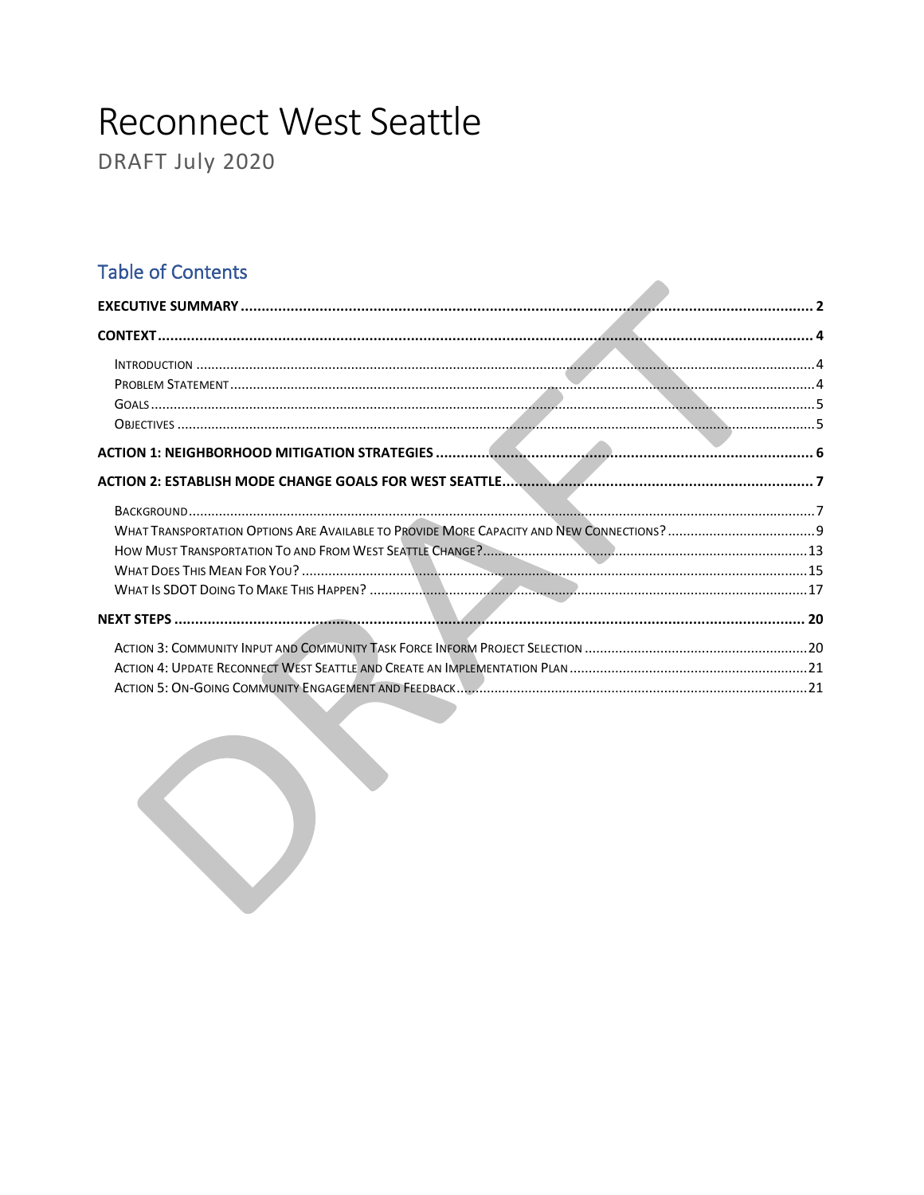# **Reconnect West Seattle**

DRAFT July 2020

# **Table of Contents**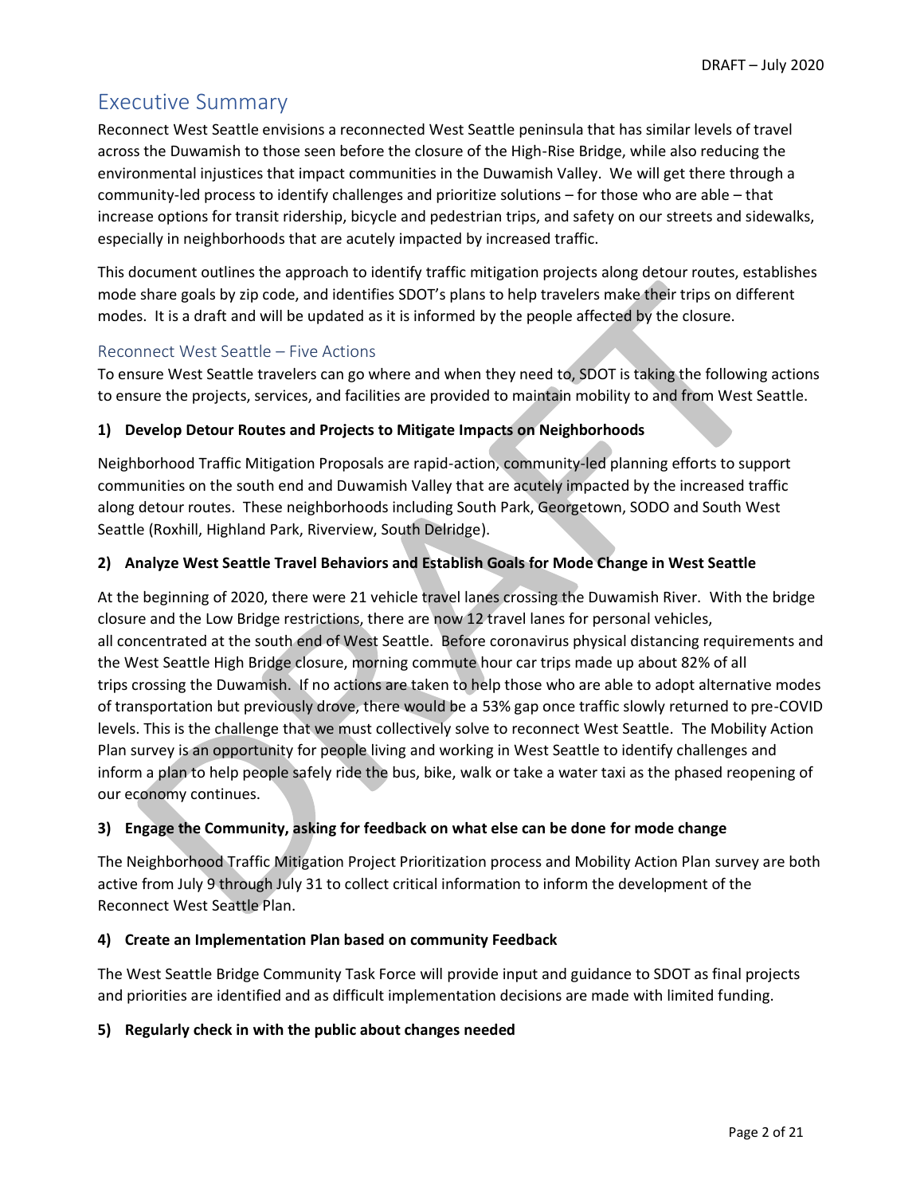# <span id="page-1-0"></span>Executive Summary

Reconnect West Seattle envisions a reconnected West Seattle peninsula that has similar levels of travel across the Duwamish to those seen before the closure of the High-Rise Bridge, while also reducing the environmental injustices that impact communities in the Duwamish Valley. We will get there through a community-led process to identify challenges and prioritize solutions – for those who are able – that increase options for transit ridership, bicycle and pedestrian trips, and safety on our streets and sidewalks, especially in neighborhoods that are acutely impacted by increased traffic.

This document outlines the approach to identify traffic mitigation projects along detour routes, establishes mode share goals by zip code, and identifies SDOT's plans to help travelers make their trips on different modes. It is a draft and will be updated as it is informed by the people affected by the closure.

#### Reconnect West Seattle – Five Actions

To ensure West Seattle travelers can go where and when they need to, SDOT is taking the following actions to ensure the projects, services, and facilities are provided to maintain mobility to and from West Seattle.

#### **1) Develop Detour Routes and Projects to Mitigate Impacts on Neighborhoods**

Neighborhood Traffic Mitigation Proposals are rapid-action, community-led planning efforts to support communities on the south end and Duwamish Valley that are acutely impacted by the increased traffic along detour routes.  These neighborhoods including South Park, Georgetown, SODO and South West Seattle (Roxhill, Highland Park, Riverview, South Delridge).

#### **2) Analyze West Seattle Travel Behaviors and Establish Goals for Mode Change in West Seattle**

At the beginning of 2020, there were 21 vehicle travel lanes crossing the Duwamish River. With the bridge closure and the Low Bridge restrictions, there are now 12 travel lanes for personal vehicles, all concentrated at the south end of West Seattle.  Before coronavirus physical distancing requirements and the West Seattle High Bridge closure, morning commute hour car trips made up about 82% of all trips crossing the Duwamish.  If no actions are taken to help those who are able to adopt alternative modes of transportation but previously drove, there would be a 53% gap once traffic slowly returned to pre-COVID levels. This is the challenge that we must collectively solve to reconnect West Seattle.  The Mobility Action Plan survey is an opportunity for people living and working in West Seattle to identify challenges and inform a plan to help people safely ride the bus, bike, walk or take a water taxi as the phased reopening of our economy continues.

#### **3) Engage the Community, asking for feedback on what else can be done for mode change**

The Neighborhood Traffic Mitigation Project Prioritization process and Mobility Action Plan survey are both active from July 9 through July 31 to collect critical information to inform the development of the Reconnect West Seattle Plan.

#### **4) Create an Implementation Plan based on community Feedback**

The West Seattle Bridge Community Task Force will provide input and guidance to SDOT as final projects and priorities are identified and as difficult implementation decisions are made with limited funding.

#### **5) Regularly check in with the public about changes needed**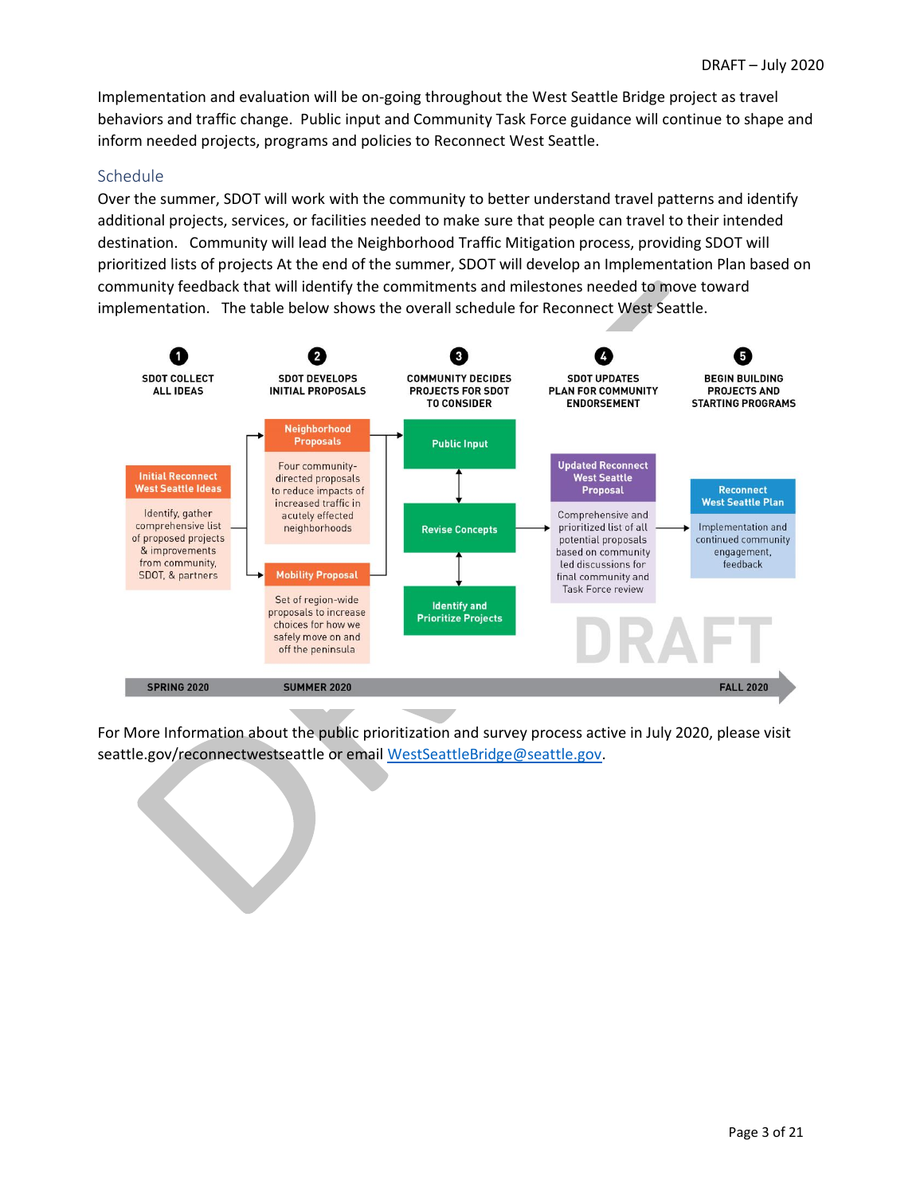Implementation and evaluation will be on-going throughout the West Seattle Bridge project as travel behaviors and traffic change. Public input and Community Task Force guidance will continue to shape and inform needed projects, programs and policies to Reconnect West Seattle.

#### Schedule

Over the summer, SDOT will work with the community to better understand travel patterns and identify additional projects, services, or facilities needed to make sure that people can travel to their intended destination. Community will lead the Neighborhood Traffic Mitigation process, providing SDOT will prioritized lists of projects At the end of the summer, SDOT will develop an Implementation Plan based on community feedback that will identify the commitments and milestones needed to move toward implementation. The table below shows the overall schedule for Reconnect West Seattle.



For More Information about the public prioritization and survey process active in July 2020, please visit seattle.gov/reconnectwestseattle or emai[l WestSeattleBridge@seattle.gov.](mailto:WestSeattleBridge@seattle.gov)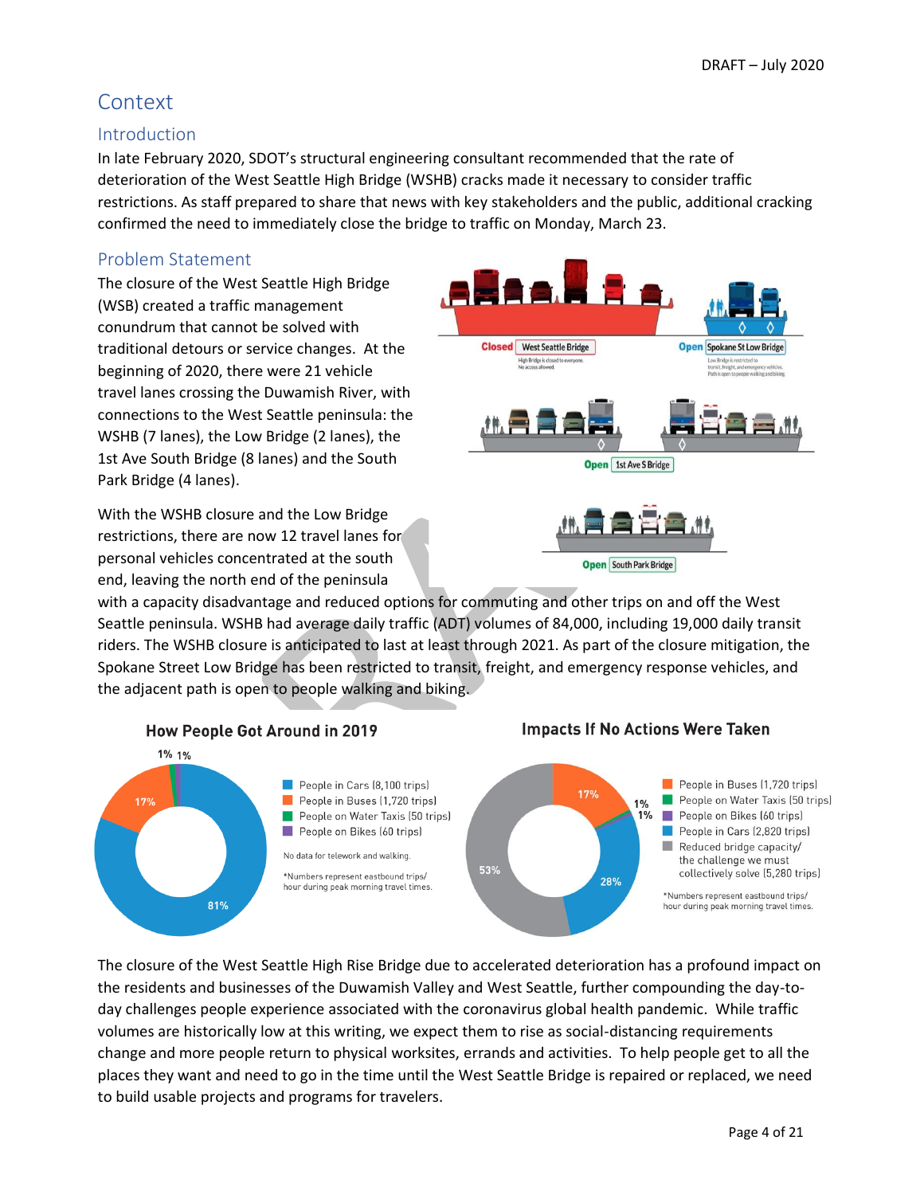# <span id="page-3-0"></span>**Context**

# <span id="page-3-1"></span>Introduction

In late February 2020, SDOT's structural engineering consultant recommended that the rate of deterioration of the West Seattle High Bridge (WSHB) cracks made it necessary to consider traffic restrictions. As staff prepared to share that news with key stakeholders and the public, additional cracking confirmed the need to immediately close the bridge to traffic on Monday, March 23.

# <span id="page-3-2"></span>Problem Statement

The closure of the West Seattle High Bridge (WSB) created a traffic management conundrum that cannot be solved with traditional detours or service changes. At the beginning of 2020, there were 21 vehicle travel lanes crossing the Duwamish River, with connections to the West Seattle peninsula: the WSHB (7 lanes), the Low Bridge (2 lanes), the 1st Ave South Bridge (8 lanes) and the South Park Bridge (4 lanes).

With the WSHB closure and the Low Bridge restrictions, there are now 12 travel lanes for personal vehicles concentrated at the south end, leaving the north end of the peninsula

with a capacity disadvantage and reduced options for commuting and other trips on and off the West Seattle peninsula. WSHB had average daily traffic (ADT) volumes of 84,000, including 19,000 daily transit riders. The WSHB closure is anticipated to last at least through 2021. As part of the closure mitigation, the Spokane Street Low Bridge has been restricted to transit, freight, and emergency response vehicles, and the adjacent path is open to people walking and biking.



The closure of the West Seattle High Rise Bridge due to accelerated deterioration has a profound impact on the residents and businesses of the Duwamish Valley and West Seattle, further compounding the day-today challenges people experience associated with the coronavirus global health pandemic. While traffic volumes are historically low at this writing, we expect them to rise as social-distancing requirements change and more people return to physical worksites, errands and activities. To help people get to all the places they want and need to go in the time until the West Seattle Bridge is repaired or replaced, we need to build usable projects and programs for travelers.

# **Impacts If No Actions Were Taken**



Open South Park Bridge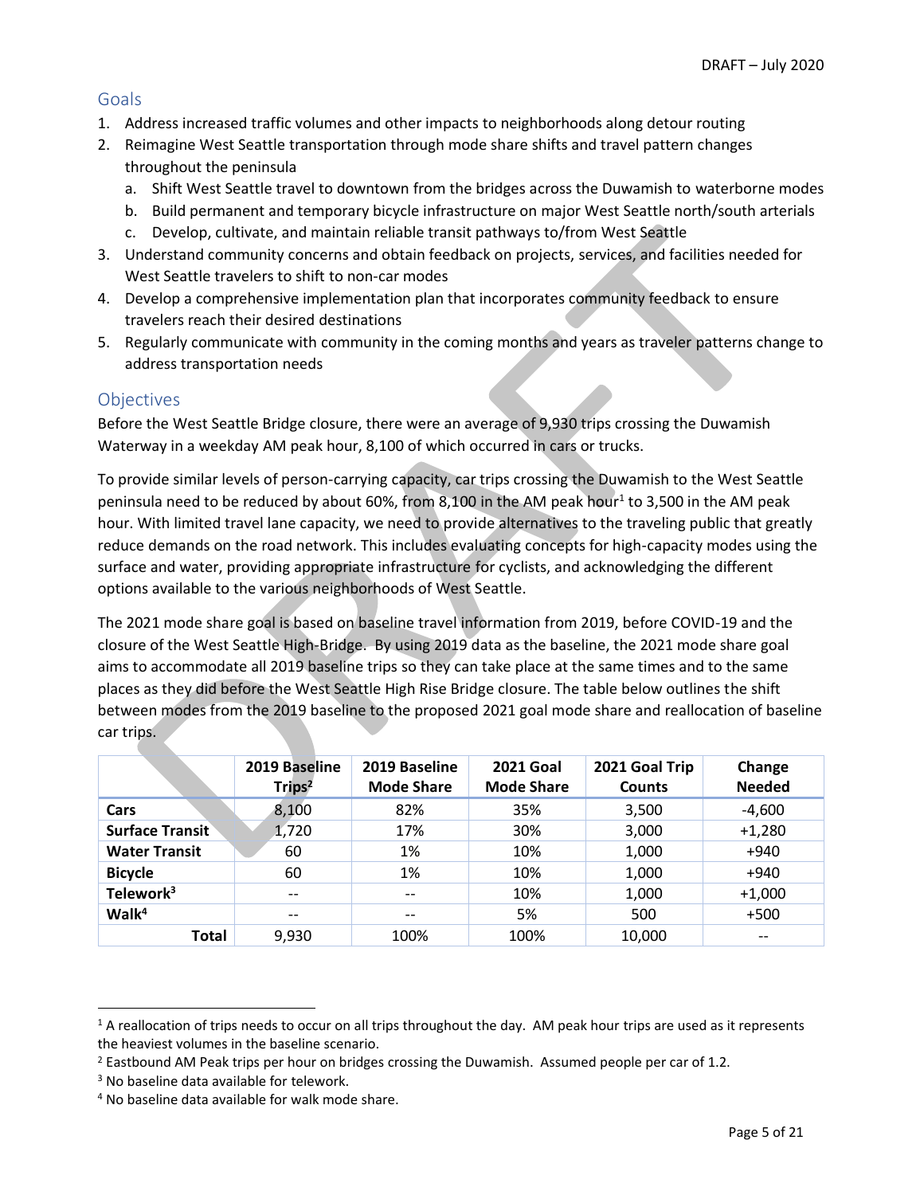# <span id="page-4-0"></span>**Goals**

- 1. Address increased traffic volumes and other impacts to neighborhoods along detour routing
- 2. Reimagine West Seattle transportation through mode share shifts and travel pattern changes throughout the peninsula
	- a. Shift West Seattle travel to downtown from the bridges across the Duwamish to waterborne modes
	- b. Build permanent and temporary bicycle infrastructure on major West Seattle north/south arterials
	- c. Develop, cultivate, and maintain reliable transit pathways to/from West Seattle
- 3. Understand community concerns and obtain feedback on projects, services, and facilities needed for West Seattle travelers to shift to non-car modes
- 4. Develop a comprehensive implementation plan that incorporates community feedback to ensure travelers reach their desired destinations
- 5. Regularly communicate with community in the coming months and years as traveler patterns change to address transportation needs

# <span id="page-4-1"></span>**Objectives**

Before the West Seattle Bridge closure, there were an average of 9,930 trips crossing the Duwamish Waterway in a weekday AM peak hour, 8,100 of which occurred in cars or trucks.

To provide similar levels of person-carrying capacity, car trips crossing the Duwamish to the West Seattle peninsula need to be reduced by about 60%, from 8,100 in the AM peak hour<sup>1</sup> to 3,500 in the AM peak hour. With limited travel lane capacity, we need to provide alternatives to the traveling public that greatly reduce demands on the road network. This includes evaluating concepts for high-capacity modes using the surface and water, providing appropriate infrastructure for cyclists, and acknowledging the different options available to the various neighborhoods of West Seattle.

The 2021 mode share goal is based on baseline travel information from 2019, before COVID-19 and the closure of the West Seattle High-Bridge. By using 2019 data as the baseline, the 2021 mode share goal aims to accommodate all 2019 baseline trips so they can take place at the same times and to the same places as they did before the West Seattle High Rise Bridge closure. The table below outlines the shift between modes from the 2019 baseline to the proposed 2021 goal mode share and reallocation of baseline car trips.

|                        | 2019 Baseline<br>Trips <sup>2</sup> | 2019 Baseline<br><b>Mode Share</b> | <b>2021 Goal</b><br><b>Mode Share</b> | 2021 Goal Trip<br><b>Counts</b> | Change<br><b>Needed</b> |
|------------------------|-------------------------------------|------------------------------------|---------------------------------------|---------------------------------|-------------------------|
| Cars                   | 8,100                               | 82%                                | 35%                                   | 3,500                           | $-4,600$                |
| <b>Surface Transit</b> | 1,720                               | 17%                                | 30%                                   | 3,000                           | $+1,280$                |
| <b>Water Transit</b>   | 60                                  | 1%                                 | 10%                                   | 1,000                           | $+940$                  |
| <b>Bicycle</b>         | 60                                  | 1%                                 | 10%                                   | 1,000                           | $+940$                  |
| Telework <sup>3</sup>  | $\overline{\phantom{m}}$            | $\qquad \qquad -$                  | 10%                                   | 1,000                           | $+1,000$                |
| Walk <sup>4</sup>      | $\overline{\phantom{m}}$            | --                                 | 5%                                    | 500                             | $+500$                  |
| <b>Total</b>           | 9,930                               | 100%                               | 100%                                  | 10,000                          | --                      |

 $1$  A reallocation of trips needs to occur on all trips throughout the day. AM peak hour trips are used as it represents the heaviest volumes in the baseline scenario.

 $2$  Eastbound AM Peak trips per hour on bridges crossing the Duwamish. Assumed people per car of 1.2.

<sup>&</sup>lt;sup>3</sup> No baseline data available for telework.

<sup>4</sup> No baseline data available for walk mode share.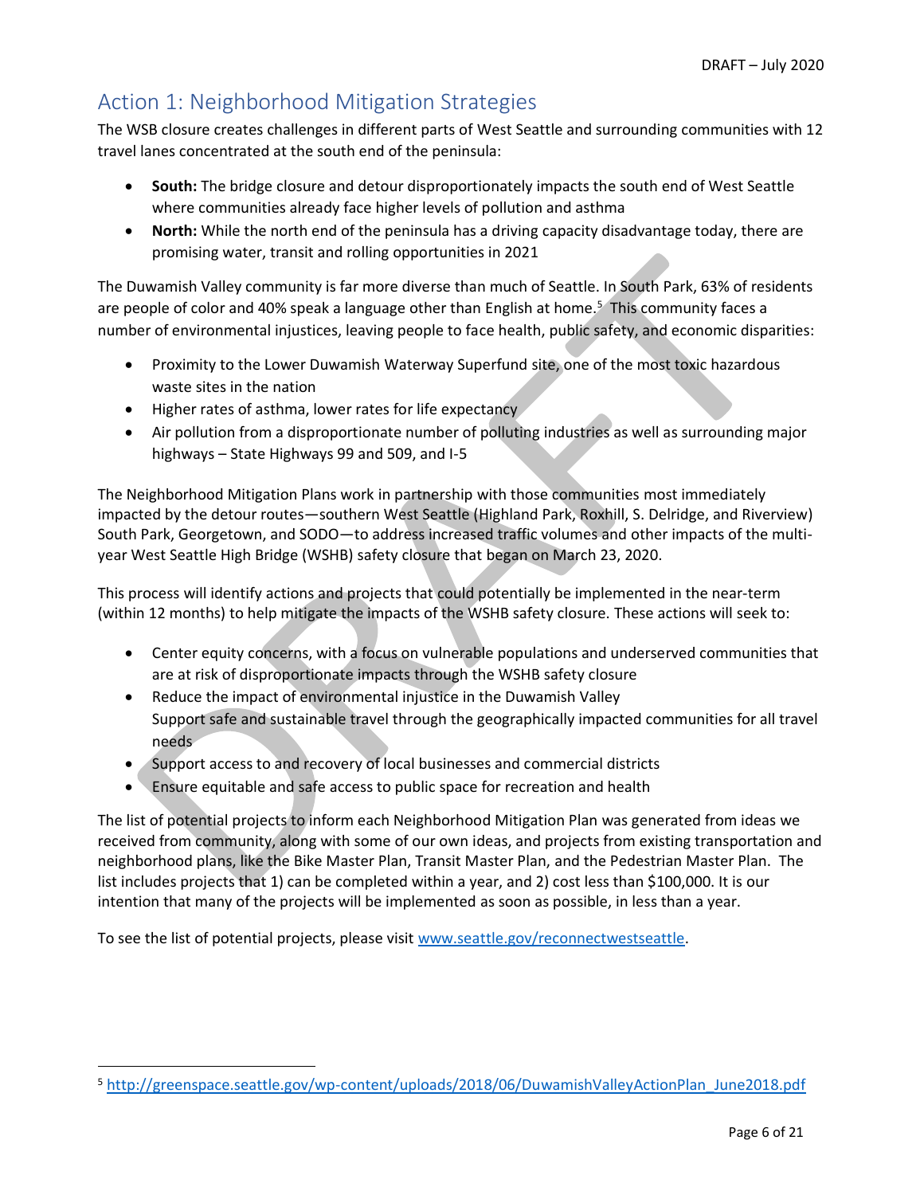# <span id="page-5-0"></span>Action 1: Neighborhood Mitigation Strategies

The WSB closure creates challenges in different parts of West Seattle and surrounding communities with 12 travel lanes concentrated at the south end of the peninsula:

- **South:** The bridge closure and detour disproportionately impacts the south end of West Seattle where communities already face higher levels of pollution and asthma
- **North:** While the north end of the peninsula has a driving capacity disadvantage today, there are promising water, transit and rolling opportunities in 2021

The Duwamish Valley community is far more diverse than much of Seattle. In South Park, 63% of residents are people of color and 40% speak a language other than English at home.<sup>5</sup> This community faces a number of environmental injustices, leaving people to face health, public safety, and economic disparities:

- Proximity to the Lower Duwamish Waterway Superfund site, one of the most toxic hazardous waste sites in the nation
- Higher rates of asthma, lower rates for life expectancy
- Air pollution from a disproportionate number of polluting industries as well as surrounding major highways – State Highways 99 and 509, and I-5

The Neighborhood Mitigation Plans work in partnership with those communities most immediately impacted by the detour routes—southern West Seattle (Highland Park, Roxhill, S. Delridge, and Riverview) South Park, Georgetown, and SODO—to address increased traffic volumes and other impacts of the multiyear West Seattle High Bridge (WSHB) safety closure that began on March 23, 2020.

This process will identify actions and projects that could potentially be implemented in the near-term (within 12 months) to help mitigate the impacts of the WSHB safety closure. These actions will seek to:

- Center equity concerns, with a focus on vulnerable populations and underserved communities that are at risk of disproportionate impacts through the WSHB safety closure
- Reduce the impact of environmental injustice in the Duwamish Valley Support safe and sustainable travel through the geographically impacted communities for all travel needs
- Support access to and recovery of local businesses and commercial districts
- Ensure equitable and safe access to public space for recreation and health

The list of potential projects to inform each Neighborhood Mitigation Plan was generated from ideas we received from community, along with some of our own ideas, and projects from existing transportation and neighborhood plans, like the Bike Master Plan, Transit Master Plan, and the Pedestrian Master Plan. The list includes projects that 1) can be completed within a year, and 2) cost less than \$100,000. It is our intention that many of the projects will be implemented as soon as possible, in less than a year.

To see the list of potential projects, please visit [www.seattle.gov/reconnectwestseattle.](http://www.seattle.gov/reconnectwestseattle)

<sup>5</sup> [http://greenspace.seattle.gov/wp-content/uploads/2018/06/DuwamishValleyActionPlan\\_June2018.pdf](http://greenspace.seattle.gov/wp-content/uploads/2018/06/DuwamishValleyActionPlan_June2018.pdf)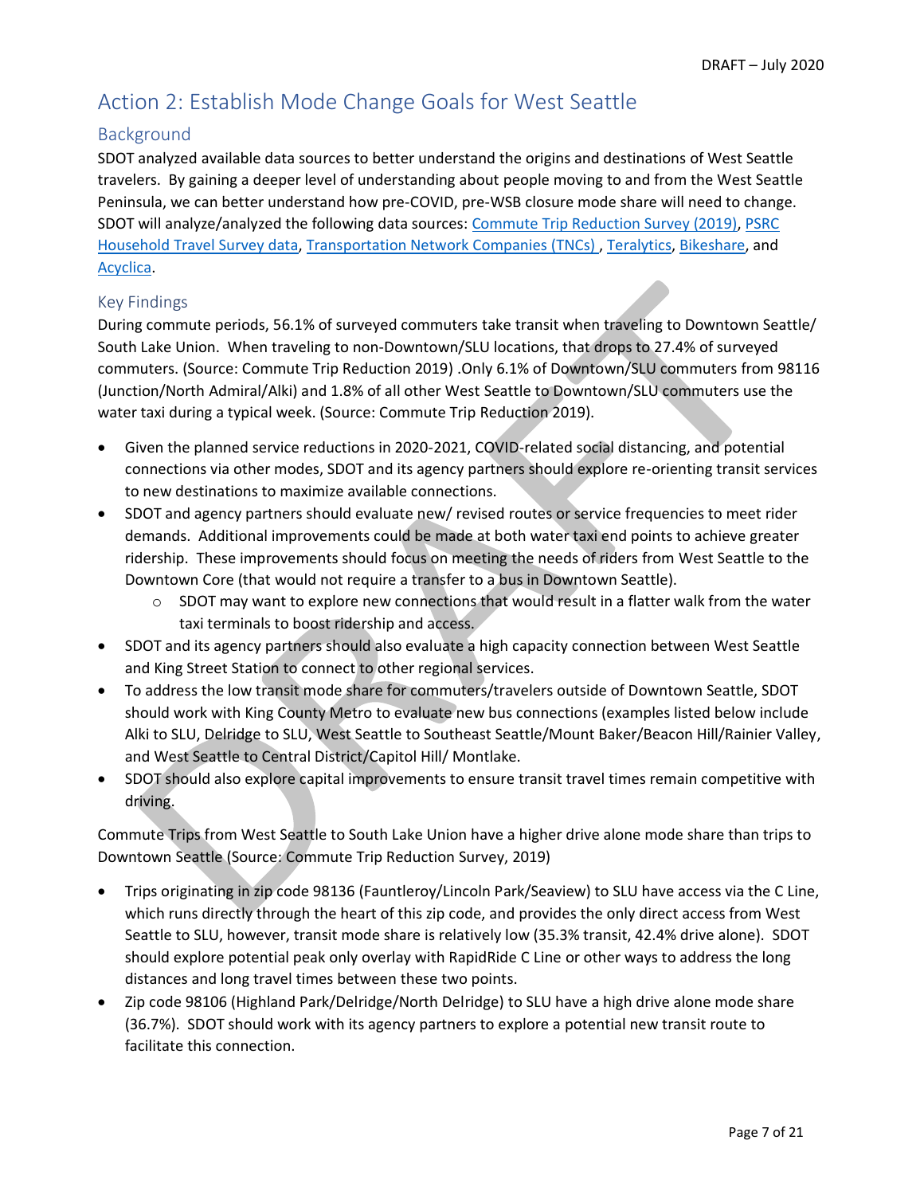# <span id="page-6-0"></span>Action 2: Establish Mode Change Goals for West Seattle

# <span id="page-6-1"></span>Background

SDOT analyzed available data sources to better understand the origins and destinations of West Seattle travelers. By gaining a deeper level of understanding about people moving to and from the West Seattle Peninsula, we can better understand how pre-COVID, pre-WSB closure mode share will need to change. SDOT will analyze/analyzed the following data sources: Commute Trip Reduction Survey (2019), PSRC Household Travel Survey data, Transportation Network Companies (TNCs) , Teralytics, Bikeshare, and Acyclica.

# Key Findings

During commute periods, 56.1% of surveyed commuters take transit when traveling to Downtown Seattle/ South Lake Union. When traveling to non-Downtown/SLU locations, that drops to 27.4% of surveyed commuters. (Source: Commute Trip Reduction 2019) .Only 6.1% of Downtown/SLU commuters from 98116 (Junction/North Admiral/Alki) and 1.8% of all other West Seattle to Downtown/SLU commuters use the water taxi during a typical week. (Source: Commute Trip Reduction 2019).

- Given the planned service reductions in 2020-2021, COVID-related social distancing, and potential connections via other modes, SDOT and its agency partners should explore re-orienting transit services to new destinations to maximize available connections.
- SDOT and agency partners should evaluate new/ revised routes or service frequencies to meet rider demands. Additional improvements could be made at both water taxi end points to achieve greater ridership. These improvements should focus on meeting the needs of riders from West Seattle to the Downtown Core (that would not require a transfer to a bus in Downtown Seattle).
	- $\circ$  SDOT may want to explore new connections that would result in a flatter walk from the water taxi terminals to boost ridership and access.
- SDOT and its agency partners should also evaluate a high capacity connection between West Seattle and King Street Station to connect to other regional services.
- To address the low transit mode share for commuters/travelers outside of Downtown Seattle, SDOT should work with King County Metro to evaluate new bus connections (examples listed below include Alki to SLU, Delridge to SLU, West Seattle to Southeast Seattle/Mount Baker/Beacon Hill/Rainier Valley, and West Seattle to Central District/Capitol Hill/ Montlake.
- SDOT should also explore capital improvements to ensure transit travel times remain competitive with driving.

Commute Trips from West Seattle to South Lake Union have a higher drive alone mode share than trips to Downtown Seattle (Source: Commute Trip Reduction Survey, 2019)

- Trips originating in zip code 98136 (Fauntleroy/Lincoln Park/Seaview) to SLU have access via the C Line, which runs directly through the heart of this zip code, and provides the only direct access from West Seattle to SLU, however, transit mode share is relatively low (35.3% transit, 42.4% drive alone). SDOT should explore potential peak only overlay with RapidRide C Line or other ways to address the long distances and long travel times between these two points.
- Zip code 98106 (Highland Park/Delridge/North Delridge) to SLU have a high drive alone mode share (36.7%). SDOT should work with its agency partners to explore a potential new transit route to facilitate this connection.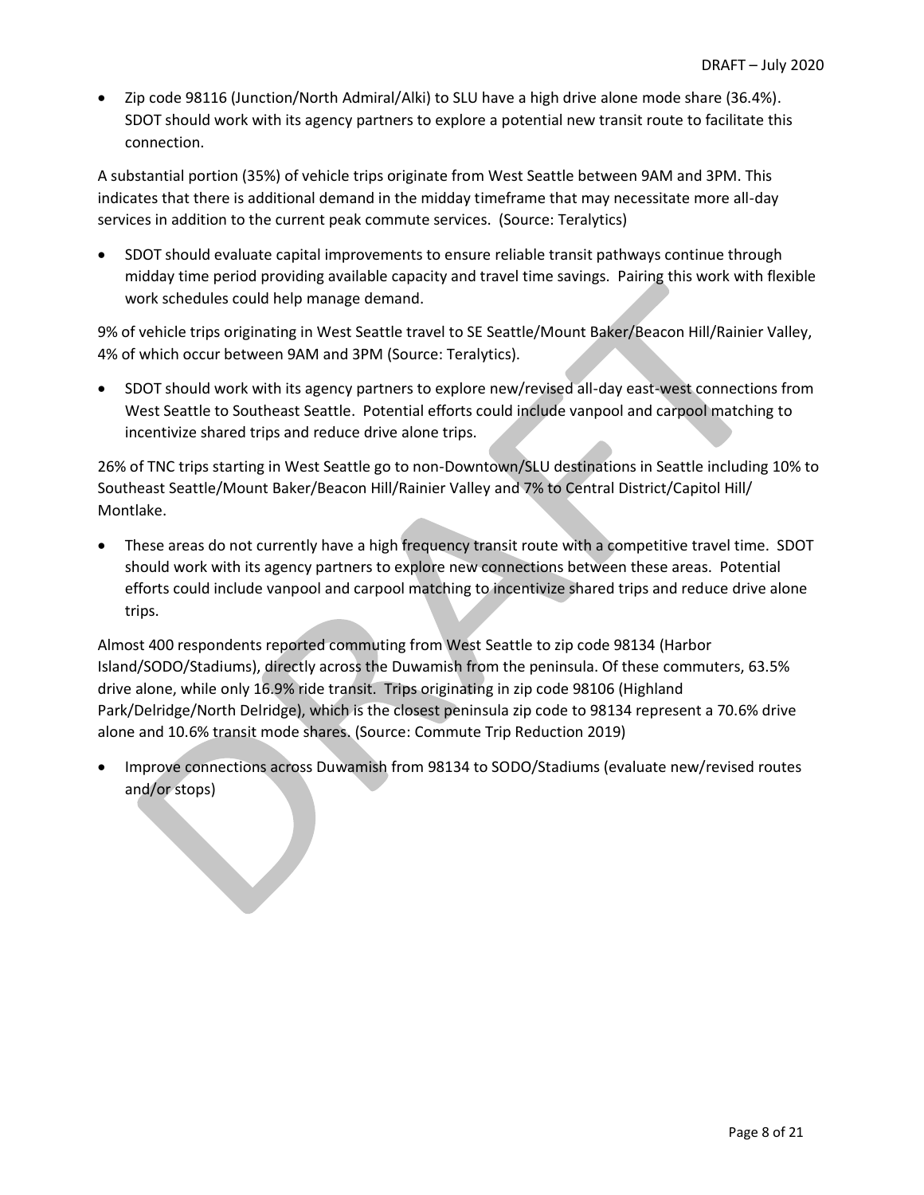• Zip code 98116 (Junction/North Admiral/Alki) to SLU have a high drive alone mode share (36.4%). SDOT should work with its agency partners to explore a potential new transit route to facilitate this connection.

A substantial portion (35%) of vehicle trips originate from West Seattle between 9AM and 3PM. This indicates that there is additional demand in the midday timeframe that may necessitate more all-day services in addition to the current peak commute services. (Source: Teralytics)

• SDOT should evaluate capital improvements to ensure reliable transit pathways continue through midday time period providing available capacity and travel time savings. Pairing this work with flexible work schedules could help manage demand.

9% of vehicle trips originating in West Seattle travel to SE Seattle/Mount Baker/Beacon Hill/Rainier Valley, 4% of which occur between 9AM and 3PM (Source: Teralytics).

• SDOT should work with its agency partners to explore new/revised all-day east-west connections from West Seattle to Southeast Seattle. Potential efforts could include vanpool and carpool matching to incentivize shared trips and reduce drive alone trips.

26% of TNC trips starting in West Seattle go to non-Downtown/SLU destinations in Seattle including 10% to Southeast Seattle/Mount Baker/Beacon Hill/Rainier Valley and 7% to Central District/Capitol Hill/ Montlake.

• These areas do not currently have a high frequency transit route with a competitive travel time. SDOT should work with its agency partners to explore new connections between these areas. Potential efforts could include vanpool and carpool matching to incentivize shared trips and reduce drive alone trips.

Almost 400 respondents reported commuting from West Seattle to zip code 98134 (Harbor Island/SODO/Stadiums), directly across the Duwamish from the peninsula. Of these commuters, 63.5% drive alone, while only 16.9% ride transit. Trips originating in zip code 98106 (Highland Park/Delridge/North Delridge), which is the closest peninsula zip code to 98134 represent a 70.6% drive alone and 10.6% transit mode shares. (Source: Commute Trip Reduction 2019)

• Improve connections across Duwamish from 98134 to SODO/Stadiums (evaluate new/revised routes and/or stops)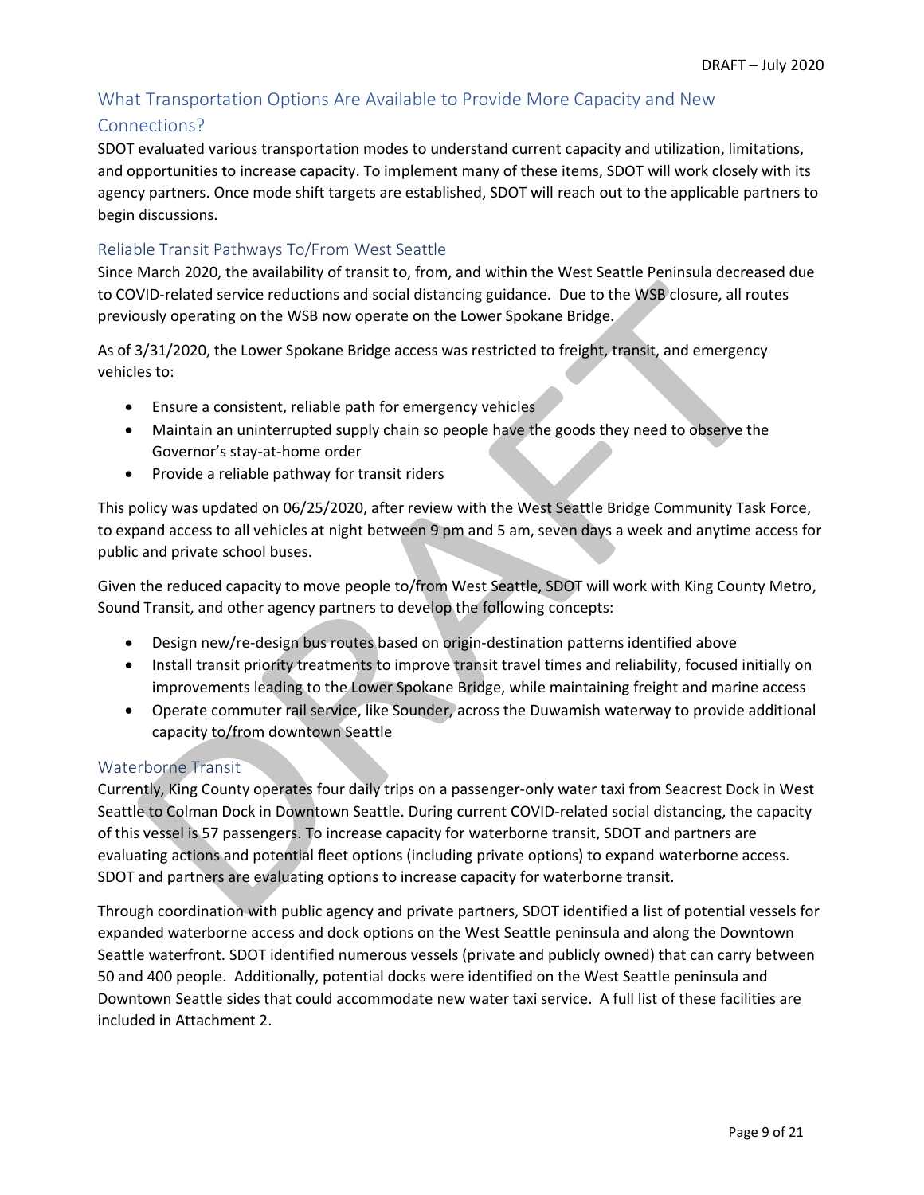# <span id="page-8-0"></span>What Transportation Options Are Available to Provide More Capacity and New

#### Connections?

SDOT evaluated various transportation modes to understand current capacity and utilization, limitations, and opportunities to increase capacity. To implement many of these items, SDOT will work closely with its agency partners. Once mode shift targets are established, SDOT will reach out to the applicable partners to begin discussions.

#### Reliable Transit Pathways To/From West Seattle

Since March 2020, the availability of transit to, from, and within the West Seattle Peninsula decreased due to COVID-related service reductions and social distancing guidance. Due to the WSB closure, all routes previously operating on the WSB now operate on the Lower Spokane Bridge.

As of 3/31/2020, the Lower Spokane Bridge access was restricted to freight, transit, and emergency vehicles to:

- Ensure a consistent, reliable path for emergency vehicles
- Maintain an uninterrupted supply chain so people have the goods they need to observe the Governor's stay-at-home order
- Provide a reliable pathway for transit riders

This policy was updated on 06/25/2020, after review with the West Seattle Bridge Community Task Force, to expand access to all vehicles at night between 9 pm and 5 am, seven days a week and anytime access for public and private school buses.

Given the reduced capacity to move people to/from West Seattle, SDOT will work with King County Metro, Sound Transit, and other agency partners to develop the following concepts:

- Design new/re-design bus routes based on origin-destination patterns identified above
- Install transit priority treatments to improve transit travel times and reliability, focused initially on improvements leading to the Lower Spokane Bridge, while maintaining freight and marine access
- Operate commuter rail service, like Sounder, across the Duwamish waterway to provide additional capacity to/from downtown Seattle

# Waterborne Transit

Currently, King County operates four daily trips on a passenger-only water taxi from Seacrest Dock in West Seattle to Colman Dock in Downtown Seattle. During current COVID-related social distancing, the capacity of this vessel is 57 passengers. To increase capacity for waterborne transit, SDOT and partners are evaluating actions and potential fleet options (including private options) to expand waterborne access. SDOT and partners are evaluating options to increase capacity for waterborne transit.

Through coordination with public agency and private partners, SDOT identified a list of potential vessels for expanded waterborne access and dock options on the West Seattle peninsula and along the Downtown Seattle waterfront. SDOT identified numerous vessels (private and publicly owned) that can carry between 50 and 400 people. Additionally, potential docks were identified on the West Seattle peninsula and Downtown Seattle sides that could accommodate new water taxi service. A full list of these facilities are included in Attachment 2.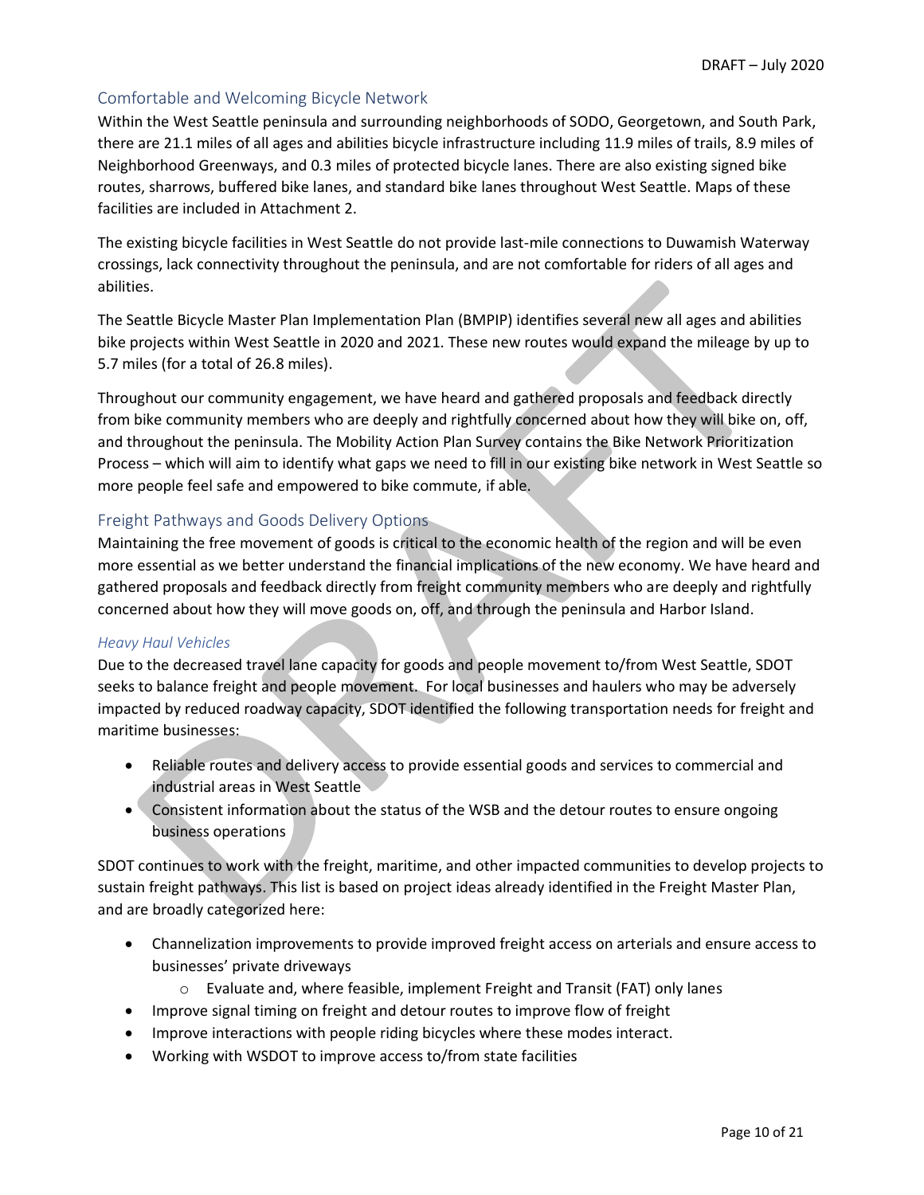# Comfortable and Welcoming Bicycle Network

Within the West Seattle peninsula and surrounding neighborhoods of SODO, Georgetown, and South Park, there are 21.1 miles of all ages and abilities bicycle infrastructure including 11.9 miles of trails, 8.9 miles of Neighborhood Greenways, and 0.3 miles of protected bicycle lanes. There are also existing signed bike routes, sharrows, buffered bike lanes, and standard bike lanes throughout West Seattle. Maps of these facilities are included in Attachment 2.

The existing bicycle facilities in West Seattle do not provide last-mile connections to Duwamish Waterway crossings, lack connectivity throughout the peninsula, and are not comfortable for riders of all ages and abilities.

The Seattle Bicycle Master Plan Implementation Plan (BMPIP) identifies several new all ages and abilities bike projects within West Seattle in 2020 and 2021. These new routes would expand the mileage by up to 5.7 miles (for a total of 26.8 miles).

Throughout our community engagement, we have heard and gathered proposals and feedback directly from bike community members who are deeply and rightfully concerned about how they will bike on, off, and throughout the peninsula. The Mobility Action Plan Survey contains the Bike Network Prioritization Process – which will aim to identify what gaps we need to fill in our existing bike network in West Seattle so more people feel safe and empowered to bike commute, if able.

#### Freight Pathways and Goods Delivery Options

Maintaining the free movement of goods is critical to the economic health of the region and will be even more essential as we better understand the financial implications of the new economy. We have heard and gathered proposals and feedback directly from freight community members who are deeply and rightfully concerned about how they will move goods on, off, and through the peninsula and Harbor Island.

#### *Heavy Haul Vehicles*

Due to the decreased travel lane capacity for goods and people movement to/from West Seattle, SDOT seeks to balance freight and people movement. For local businesses and haulers who may be adversely impacted by reduced roadway capacity, SDOT identified the following transportation needs for freight and maritime businesses:

- Reliable routes and delivery access to provide essential goods and services to commercial and industrial areas in West Seattle
- Consistent information about the status of the WSB and the detour routes to ensure ongoing business operations

SDOT continues to work with the freight, maritime, and other impacted communities to develop projects to sustain freight pathways. This list is based on project ideas already identified in the Freight Master Plan, and are broadly categorized here:

- Channelization improvements to provide improved freight access on arterials and ensure access to businesses' private driveways
	- o Evaluate and, where feasible, implement Freight and Transit (FAT) only lanes
- Improve signal timing on freight and detour routes to improve flow of freight
- Improve interactions with people riding bicycles where these modes interact.
- Working with WSDOT to improve access to/from state facilities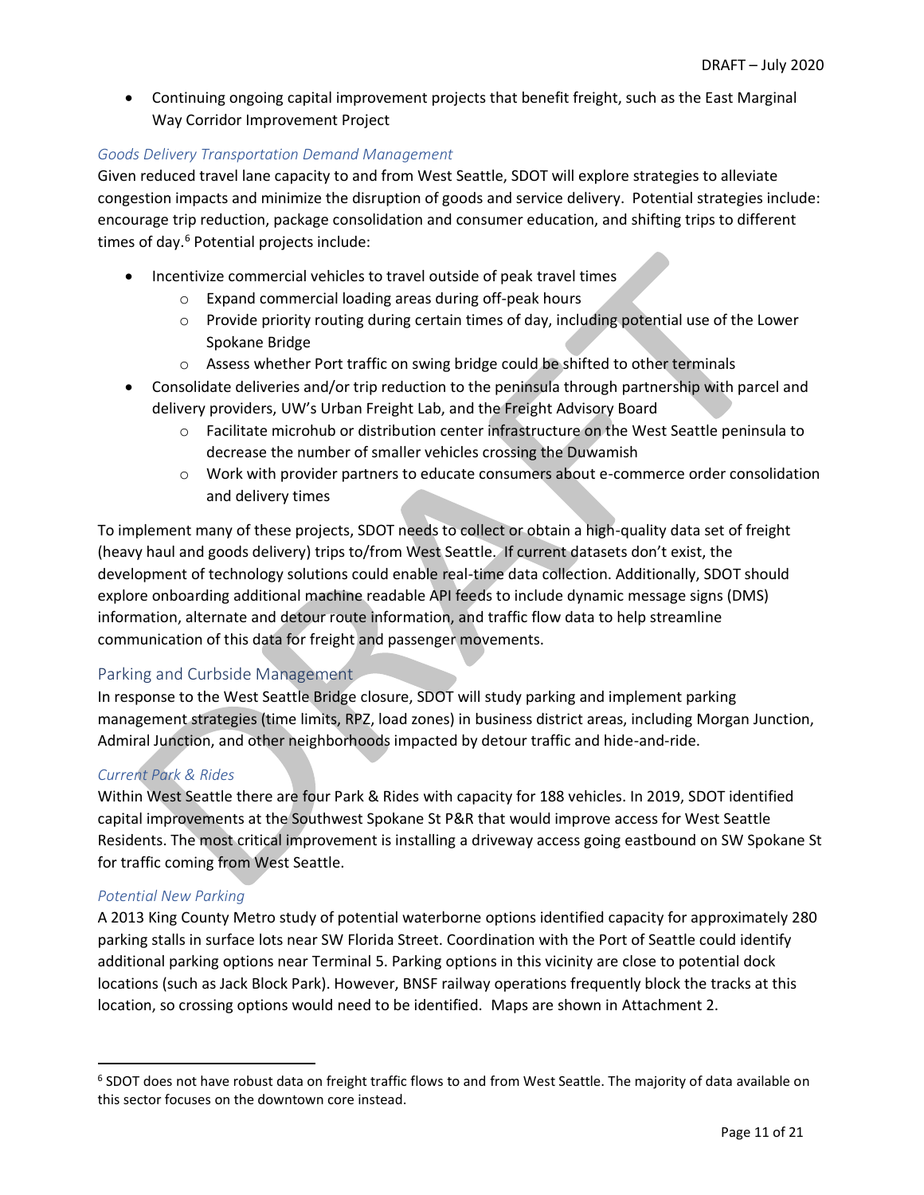• Continuing ongoing capital improvement projects that benefit freight, such as the East Marginal Way Corridor Improvement Project

#### *Goods Delivery Transportation Demand Management*

Given reduced travel lane capacity to and from West Seattle, SDOT will explore strategies to alleviate congestion impacts and minimize the disruption of goods and service delivery. Potential strategies include: encourage trip reduction, package consolidation and consumer education, and shifting trips to different times of day.<sup>6</sup> Potential projects include:

- Incentivize commercial vehicles to travel outside of peak travel times
	- o Expand commercial loading areas during off-peak hours
	- $\circ$  Provide priority routing during certain times of day, including potential use of the Lower Spokane Bridge
	- o Assess whether Port traffic on swing bridge could be shifted to other terminals
- Consolidate deliveries and/or trip reduction to the peninsula through partnership with parcel and delivery providers, UW's Urban Freight Lab, and the Freight Advisory Board
	- o Facilitate microhub or distribution center infrastructure on the West Seattle peninsula to decrease the number of smaller vehicles crossing the Duwamish
	- o Work with provider partners to educate consumers about e-commerce order consolidation and delivery times

To implement many of these projects, SDOT needs to collect or obtain a high-quality data set of freight (heavy haul and goods delivery) trips to/from West Seattle. If current datasets don't exist, the development of technology solutions could enable real-time data collection. Additionally, SDOT should explore onboarding additional machine readable API feeds to include dynamic message signs (DMS) information, alternate and detour route information, and traffic flow data to help streamline communication of this data for freight and passenger movements.

# Parking and Curbside Management

In response to the West Seattle Bridge closure, SDOT will study parking and implement parking management strategies (time limits, RPZ, load zones) in business district areas, including Morgan Junction, Admiral Junction, and other neighborhoods impacted by detour traffic and hide-and-ride.

#### *Current Park & Rides*

Within West Seattle there are four Park & Rides with capacity for 188 vehicles. In 2019, SDOT identified capital improvements at the Southwest Spokane St P&R that would improve access for West Seattle Residents. The most critical improvement is installing a driveway access going eastbound on SW Spokane St for traffic coming from West Seattle.

#### *Potential New Parking*

A 2013 King County Metro study of potential waterborne options identified capacity for approximately 280 parking stalls in surface lots near SW Florida Street. Coordination with the Port of Seattle could identify additional parking options near Terminal 5. Parking options in this vicinity are close to potential dock locations (such as Jack Block Park). However, BNSF railway operations frequently block the tracks at this location, so crossing options would need to be identified. Maps are shown in Attachment 2.

<sup>&</sup>lt;sup>6</sup> SDOT does not have robust data on freight traffic flows to and from West Seattle. The majority of data available on this sector focuses on the downtown core instead.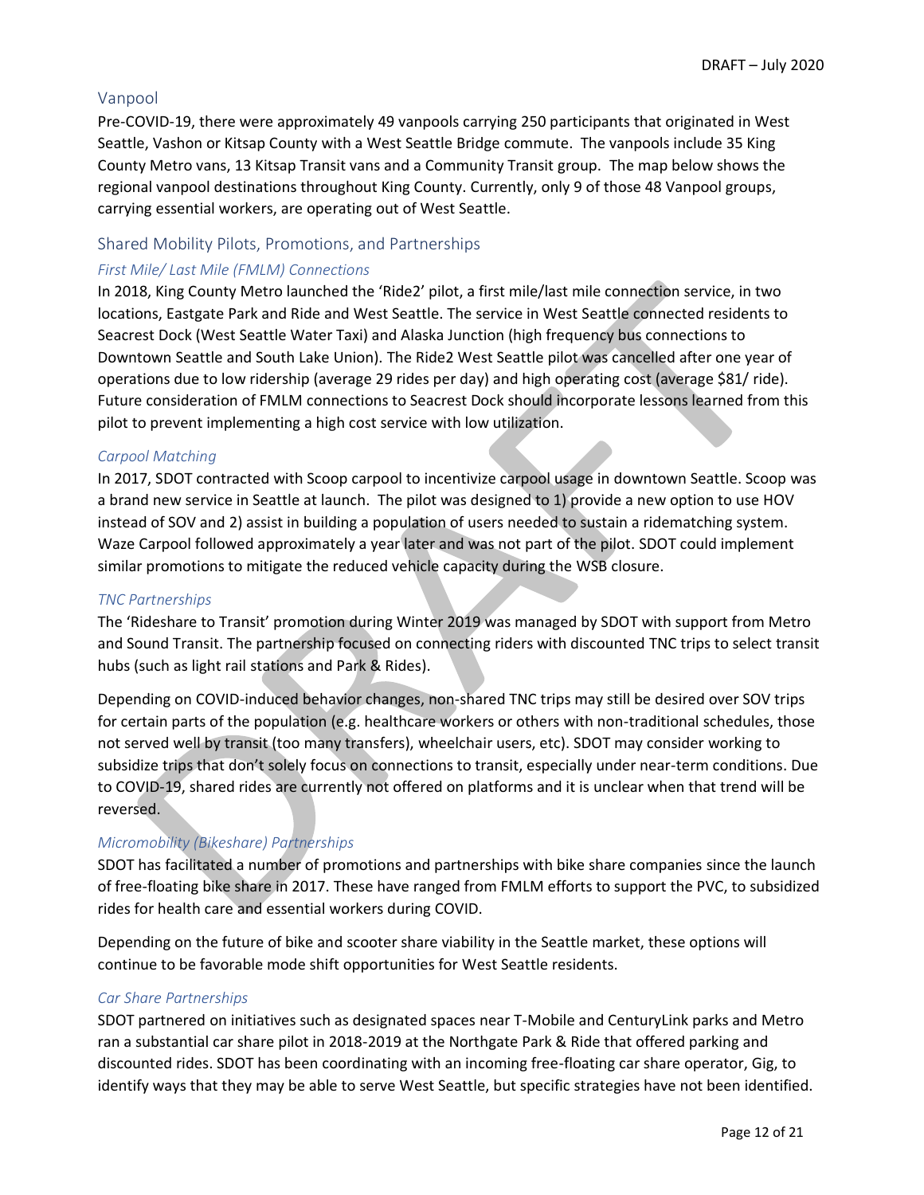#### Vanpool

Pre-COVID-19, there were approximately 49 vanpools carrying 250 participants that originated in West Seattle, Vashon or Kitsap County with a West Seattle Bridge commute. The vanpools include 35 King County Metro vans, 13 Kitsap Transit vans and a Community Transit group. The map below shows the regional vanpool destinations throughout King County. Currently, only 9 of those 48 Vanpool groups, carrying essential workers, are operating out of West Seattle.

#### Shared Mobility Pilots, Promotions, and Partnerships

#### *First Mile/ Last Mile (FMLM) Connections*

In 2018, King County Metro launched the 'Ride2' pilot, a first mile/last mile connection service, in two locations, Eastgate Park and Ride and West Seattle. The service in West Seattle connected residents to Seacrest Dock (West Seattle Water Taxi) and Alaska Junction (high frequency bus connections to Downtown Seattle and South Lake Union). The Ride2 West Seattle pilot was cancelled after one year of operations due to low ridership (average 29 rides per day) and high operating cost (average \$81/ ride). Future consideration of FMLM connections to Seacrest Dock should incorporate lessons learned from this pilot to prevent implementing a high cost service with low utilization.

#### *Carpool Matching*

In 2017, SDOT contracted with Scoop carpool to incentivize carpool usage in downtown Seattle. Scoop was a brand new service in Seattle at launch. The pilot was designed to 1) provide a new option to use HOV instead of SOV and 2) assist in building a population of users needed to sustain a ridematching system. Waze Carpool followed approximately a year later and was not part of the pilot. SDOT could implement similar promotions to mitigate the reduced vehicle capacity during the WSB closure.

#### *TNC Partnerships*

The 'Rideshare to Transit' promotion during Winter 2019 was managed by SDOT with support from Metro and Sound Transit. The partnership focused on connecting riders with discounted TNC trips to select transit hubs (such as light rail stations and Park & Rides).

Depending on COVID-induced behavior changes, non-shared TNC trips may still be desired over SOV trips for certain parts of the population (e.g. healthcare workers or others with non-traditional schedules, those not served well by transit (too many transfers), wheelchair users, etc). SDOT may consider working to subsidize trips that don't solely focus on connections to transit, especially under near-term conditions. Due to COVID-19, shared rides are currently not offered on platforms and it is unclear when that trend will be reversed.

#### *Micromobility (Bikeshare) Partnerships*

SDOT has facilitated a number of promotions and partnerships with bike share companies since the launch of free-floating bike share in 2017. These have ranged from FMLM efforts to support the PVC, to subsidized rides for health care and essential workers during COVID.

Depending on the future of bike and scooter share viability in the Seattle market, these options will continue to be favorable mode shift opportunities for West Seattle residents.

#### *Car Share Partnerships*

SDOT partnered on initiatives such as designated spaces near T-Mobile and CenturyLink parks and Metro ran a substantial car share pilot in 2018-2019 at the Northgate Park & Ride that offered parking and discounted rides. SDOT has been coordinating with an incoming free-floating car share operator, Gig, to identify ways that they may be able to serve West Seattle, but specific strategies have not been identified.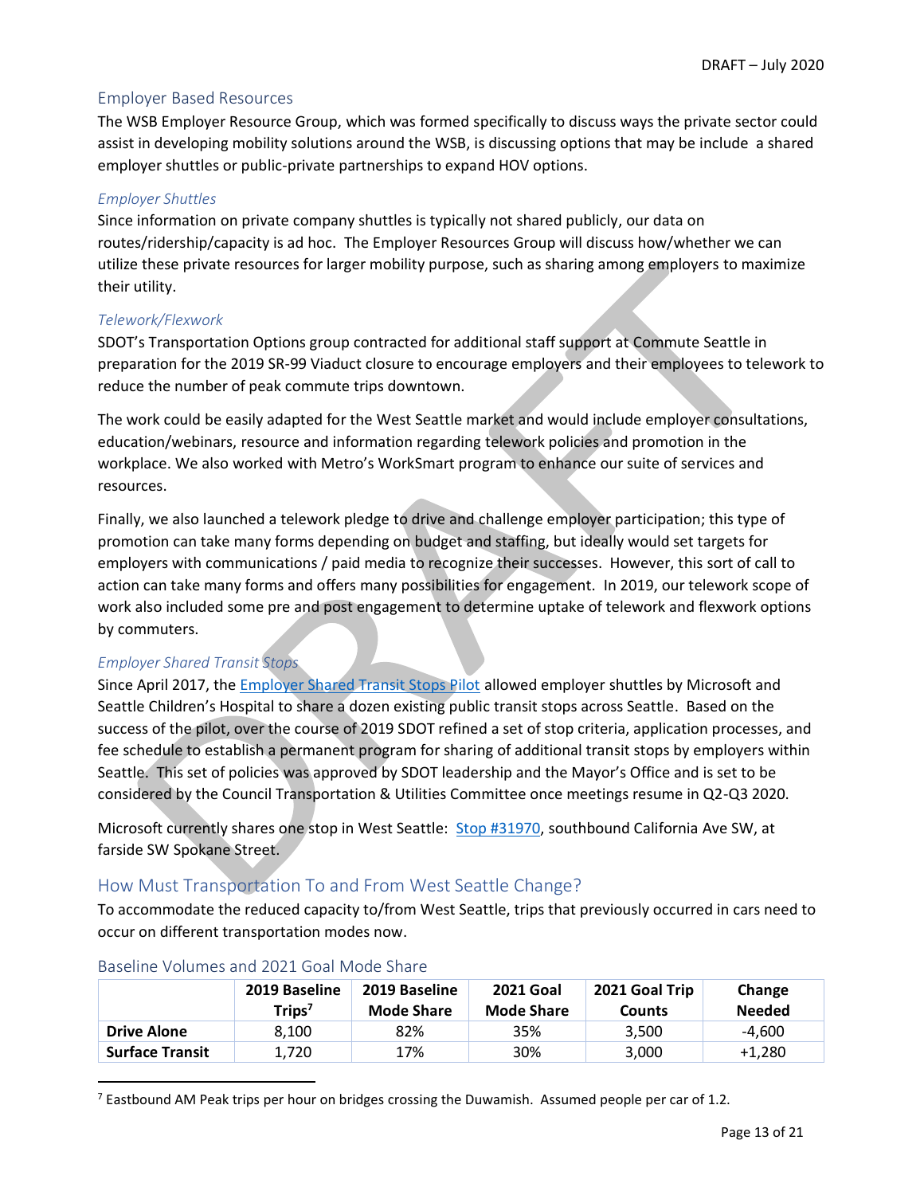# Employer Based Resources

The WSB Employer Resource Group, which was formed specifically to discuss ways the private sector could assist in developing mobility solutions around the WSB, is discussing options that may be include a shared employer shuttles or public-private partnerships to expand HOV options.

#### *Employer Shuttles*

Since information on private company shuttles is typically not shared publicly, our data on routes/ridership/capacity is ad hoc. The Employer Resources Group will discuss how/whether we can utilize these private resources for larger mobility purpose, such as sharing among employers to maximize their utility.

#### *Telework/Flexwork*

SDOT's Transportation Options group contracted for additional staff support at Commute Seattle in preparation for the 2019 SR-99 Viaduct closure to encourage employers and their employees to telework to reduce the number of peak commute trips downtown.

The work could be easily adapted for the West Seattle market and would include employer consultations, education/webinars, resource and information regarding telework policies and promotion in the workplace. We also worked with Metro's WorkSmart program to enhance our suite of services and resources.

Finally, we also launched a telework pledge to drive and challenge employer participation; this type of promotion can take many forms depending on budget and staffing, but ideally would set targets for employers with communications / paid media to recognize their successes. However, this sort of call to action can take many forms and offers many possibilities for engagement. In 2019, our telework scope of work also included some pre and post engagement to determine uptake of telework and flexwork options by commuters.

#### *Employer Shared Transit Stops*

Since April 2017, the **Employer Shared Transit Stops Pilot** allowed employer shuttles by Microsoft and Seattle Children's Hospital to share a dozen existing public transit stops across Seattle. Based on the success of the pilot, over the course of 2019 SDOT refined a set of stop criteria, application processes, and fee schedule to establish a permanent program for sharing of additional transit stops by employers within Seattle. This set of policies was approved by SDOT leadership and the Mayor's Office and is set to be considered by the Council Transportation & Utilities Committee once meetings resume in Q2-Q3 2020.

Microsoft currently shares one stop in West Seattle: [Stop #31970,](http://pugetsound.onebusaway.org/where/schedule?id=1_31970) southbound California Ave SW, at farside SW Spokane Street.

# <span id="page-12-0"></span>How Must Transportation To and From West Seattle Change?

To accommodate the reduced capacity to/from West Seattle, trips that previously occurred in cars need to occur on different transportation modes now.

|                        | 2019 Baseline<br>Trips $^7$ | 2019 Baseline<br><b>Mode Share</b> | <b>2021 Goal</b><br><b>Mode Share</b> | 2021 Goal Trip<br><b>Counts</b> | Change<br><b>Needed</b> |
|------------------------|-----------------------------|------------------------------------|---------------------------------------|---------------------------------|-------------------------|
| <b>Drive Alone</b>     | 8.100                       | 82%                                | 35%                                   | 3.500                           | -4.600                  |
| <b>Surface Transit</b> | 1,720                       | 17%                                | 30%                                   | 3,000                           | $+1,280$                |

#### Baseline Volumes and 2021 Goal Mode Share

 $7$  Eastbound AM Peak trips per hour on bridges crossing the Duwamish. Assumed people per car of 1.2.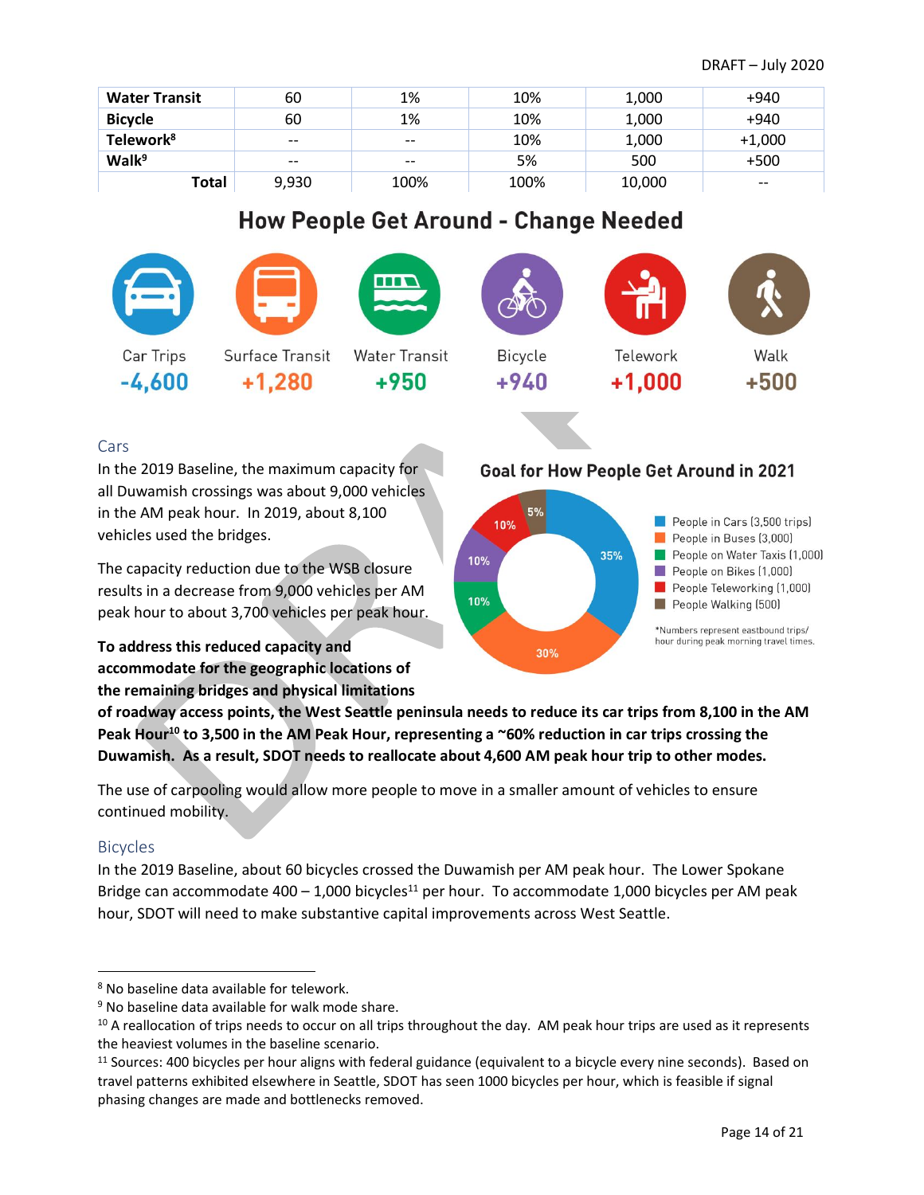| <b>Water Transit</b>  | 60    | 1%    | 10%  | 1,000  | +940     |
|-----------------------|-------|-------|------|--------|----------|
| <b>Bicycle</b>        | 60    | 1%    | 10%  | 1,000  | +940     |
| Telework <sup>8</sup> | $- -$ | $- -$ | 10%  | 1,000  | $+1,000$ |
| Walk <sup>9</sup>     | $- -$ | $- -$ | 5%   | 500    | $+500$   |
| Total                 | 9,930 | 100%  | 100% | 10,000 | $- -$    |

# **How People Get Around - Change Needed**

| Car Trips | Surface Transit | <b>Water Transit</b> | Bicycle | Telework | Walk   |
|-----------|-----------------|----------------------|---------|----------|--------|
| $-4,600$  | $+1,280$        | $+950$               | $+940$  | $+1,000$ | $+500$ |

# Cars

In the 2019 Baseline, the maximum capacity for all Duwamish crossings was about 9,000 vehicles in the AM peak hour. In 2019, about 8,100 vehicles used the bridges.

The capacity reduction due to the WSB closure results in a decrease from 9,000 vehicles per AM peak hour to about 3,700 vehicles per peak hour.

**To address this reduced capacity and accommodate for the geographic locations of the remaining bridges and physical limitations** 

# **Goal for How People Get Around in 2021**



**of roadway access points, the West Seattle peninsula needs to reduce its car trips from 8,100 in the AM Peak Hour<sup>10</sup> to 3,500 in the AM Peak Hour, representing a ~60% reduction in car trips crossing the Duwamish. As a result, SDOT needs to reallocate about 4,600 AM peak hour trip to other modes.** 

The use of carpooling would allow more people to move in a smaller amount of vehicles to ensure continued mobility.

# Bicycles

In the 2019 Baseline, about 60 bicycles crossed the Duwamish per AM peak hour. The Lower Spokane Bridge can accommodate 400 – 1,000 bicycles<sup>11</sup> per hour. To accommodate 1,000 bicycles per AM peak hour, SDOT will need to make substantive capital improvements across West Seattle.

<sup>8</sup> No baseline data available for telework.

<sup>&</sup>lt;sup>9</sup> No baseline data available for walk mode share.

 $10$  A reallocation of trips needs to occur on all trips throughout the day. AM peak hour trips are used as it represents the heaviest volumes in the baseline scenario.

 $11$  Sources: 400 bicycles per hour aligns with federal guidance (equivalent to a bicycle every nine seconds). Based on travel patterns exhibited elsewhere in Seattle, SDOT has seen 1000 bicycles per hour, which is feasible if signal phasing changes are made and bottlenecks removed.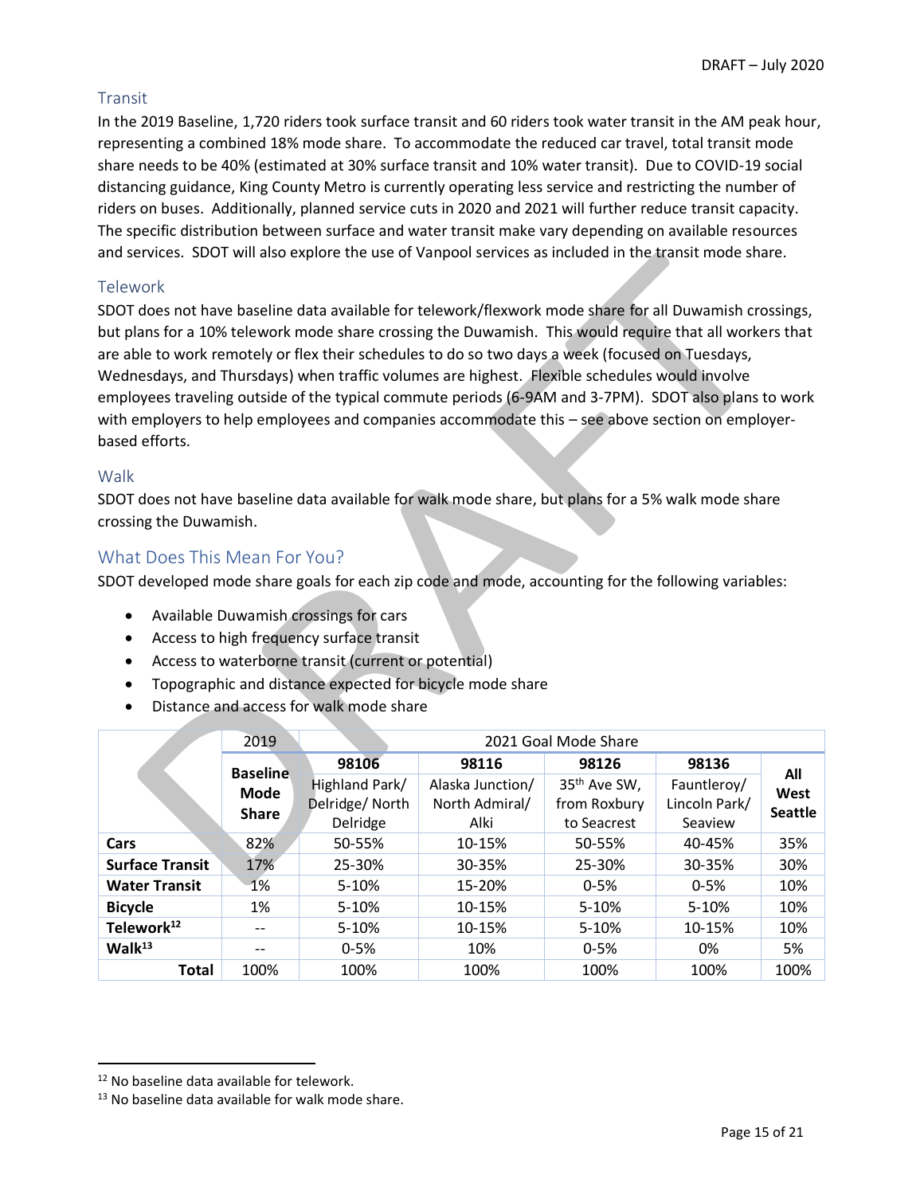# Transit

In the 2019 Baseline, 1,720 riders took surface transit and 60 riders took water transit in the AM peak hour, representing a combined 18% mode share. To accommodate the reduced car travel, total transit mode share needs to be 40% (estimated at 30% surface transit and 10% water transit). Due to COVID-19 social distancing guidance, King County Metro is currently operating less service and restricting the number of riders on buses. Additionally, planned service cuts in 2020 and 2021 will further reduce transit capacity. The specific distribution between surface and water transit make vary depending on available resources and services. SDOT will also explore the use of Vanpool services as included in the transit mode share.

#### Telework

SDOT does not have baseline data available for telework/flexwork mode share for all Duwamish crossings, but plans for a 10% telework mode share crossing the Duwamish. This would require that all workers that are able to work remotely or flex their schedules to do so two days a week (focused on Tuesdays, Wednesdays, and Thursdays) when traffic volumes are highest. Flexible schedules would involve employees traveling outside of the typical commute periods (6-9AM and 3-7PM). SDOT also plans to work with employers to help employees and companies accommodate this – see above section on employerbased efforts.

#### Walk

SDOT does not have baseline data available for walk mode share, but plans for a 5% walk mode share crossing the Duwamish.

# <span id="page-14-0"></span>What Does This Mean For You?

SDOT developed mode share goals for each zip code and mode, accounting for the following variables:

- Available Duwamish crossings for cars
- Access to high frequency surface transit
- Access to waterborne transit (current or potential)
- Topographic and distance expected for bicycle mode share
- Distance and access for walk mode share

|                                                | 2019              |                |                  | 2021 Goal Mode Share     |               |                |
|------------------------------------------------|-------------------|----------------|------------------|--------------------------|---------------|----------------|
| <b>Baseline</b><br><b>Mode</b><br><b>Share</b> |                   | 98106          | 98116            | 98126                    | 98136         | All            |
|                                                |                   | Highland Park/ | Alaska Junction/ | 35 <sup>th</sup> Ave SW, | Fauntleroy/   | West           |
|                                                |                   | Delridge/North | North Admiral/   | from Roxbury             | Lincoln Park/ | <b>Seattle</b> |
|                                                |                   | Delridge       | Alki             | to Seacrest              | Seaview       |                |
| Cars                                           | 82%               | 50-55%         | 10-15%           | 50-55%                   | 40-45%        | 35%            |
| <b>Surface Transit</b>                         | 17%               | 25-30%         | 30-35%           | 25-30%                   | 30-35%        | 30%            |
| <b>Water Transit</b>                           | 1%                | 5-10%          | 15-20%           | $0 - 5%$                 | $0 - 5%$      | 10%            |
| <b>Bicycle</b>                                 | 1%                | $5 - 10%$      | 10-15%           | $5 - 10%$                | 5-10%         | 10%            |
| Telework <sup>12</sup>                         | $- -$             | 5-10%          | 10-15%           | $5-10%$                  | 10-15%        | 10%            |
| Walk <sup>13</sup>                             | $\qquad \qquad -$ | $0 - 5%$       | 10%              | $0 - 5%$                 | 0%            | 5%             |
| Total                                          | 100%              | 100%           | 100%             | 100%                     | 100%          | 100%           |

<sup>12</sup> No baseline data available for telework.

<sup>&</sup>lt;sup>13</sup> No baseline data available for walk mode share.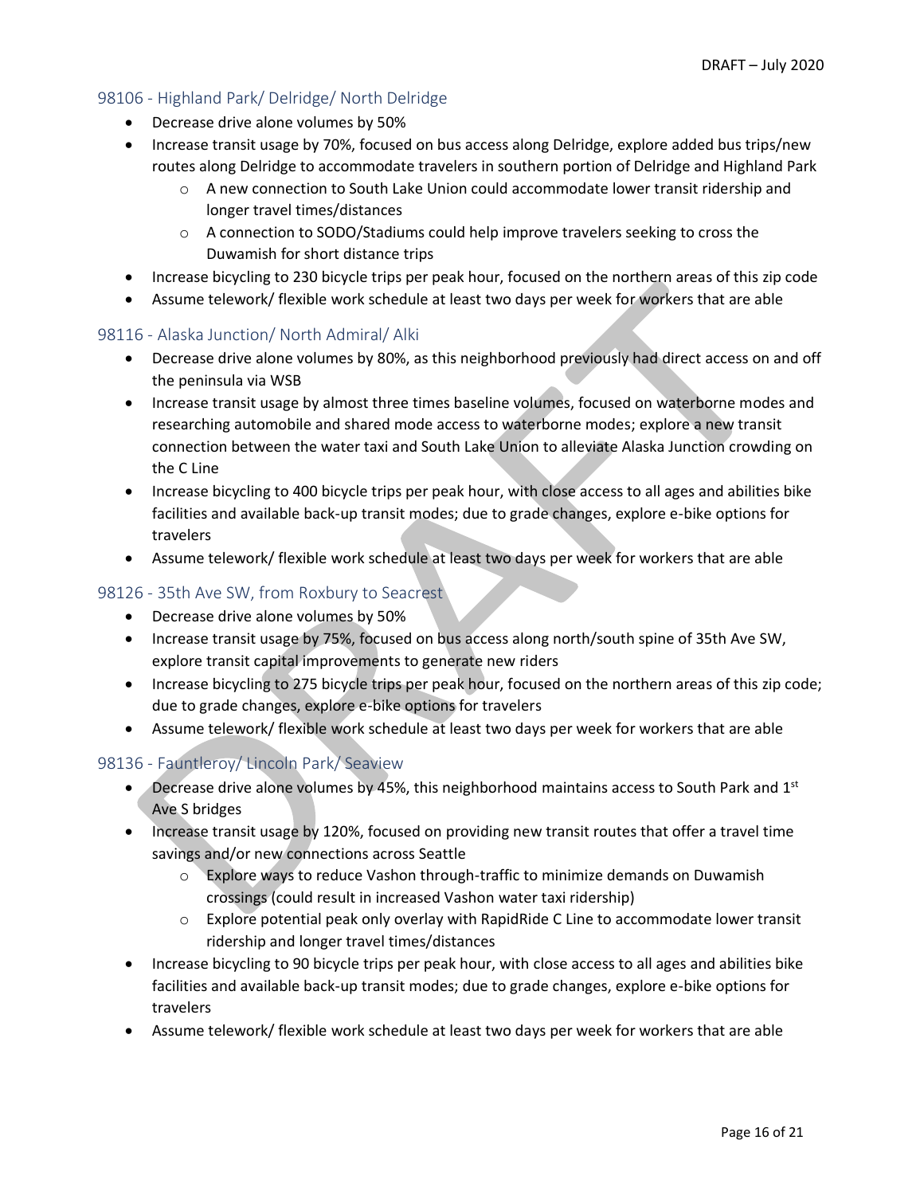#### 98106 - Highland Park/ Delridge/ North Delridge

- Decrease drive alone volumes by 50%
- Increase transit usage by 70%, focused on bus access along Delridge, explore added bus trips/new routes along Delridge to accommodate travelers in southern portion of Delridge and Highland Park
	- o A new connection to South Lake Union could accommodate lower transit ridership and longer travel times/distances
	- o A connection to SODO/Stadiums could help improve travelers seeking to cross the Duwamish for short distance trips
- Increase bicycling to 230 bicycle trips per peak hour, focused on the northern areas of this zip code
- Assume telework/ flexible work schedule at least two days per week for workers that are able

#### 98116 - Alaska Junction/ North Admiral/ Alki

- Decrease drive alone volumes by 80%, as this neighborhood previously had direct access on and off the peninsula via WSB
- Increase transit usage by almost three times baseline volumes, focused on waterborne modes and researching automobile and shared mode access to waterborne modes; explore a new transit connection between the water taxi and South Lake Union to alleviate Alaska Junction crowding on the C Line
- Increase bicycling to 400 bicycle trips per peak hour, with close access to all ages and abilities bike facilities and available back-up transit modes; due to grade changes, explore e-bike options for travelers
- Assume telework/ flexible work schedule at least two days per week for workers that are able

#### 98126 - 35th Ave SW, from Roxbury to Seacrest

- Decrease drive alone volumes by 50%
- Increase transit usage by 75%, focused on bus access along north/south spine of 35th Ave SW, explore transit capital improvements to generate new riders
- Increase bicycling to 275 bicycle trips per peak hour, focused on the northern areas of this zip code; due to grade changes, explore e-bike options for travelers
- Assume telework/ flexible work schedule at least two days per week for workers that are able

# 98136 - Fauntleroy/ Lincoln Park/ Seaview

- Decrease drive alone volumes by 45%, this neighborhood maintains access to South Park and  $1^{st}$ Ave S bridges
- Increase transit usage by 120%, focused on providing new transit routes that offer a travel time savings and/or new connections across Seattle
	- o Explore ways to reduce Vashon through-traffic to minimize demands on Duwamish crossings (could result in increased Vashon water taxi ridership)
	- $\circ$  Explore potential peak only overlay with RapidRide C Line to accommodate lower transit ridership and longer travel times/distances
- Increase bicycling to 90 bicycle trips per peak hour, with close access to all ages and abilities bike facilities and available back-up transit modes; due to grade changes, explore e-bike options for travelers
- Assume telework/ flexible work schedule at least two days per week for workers that are able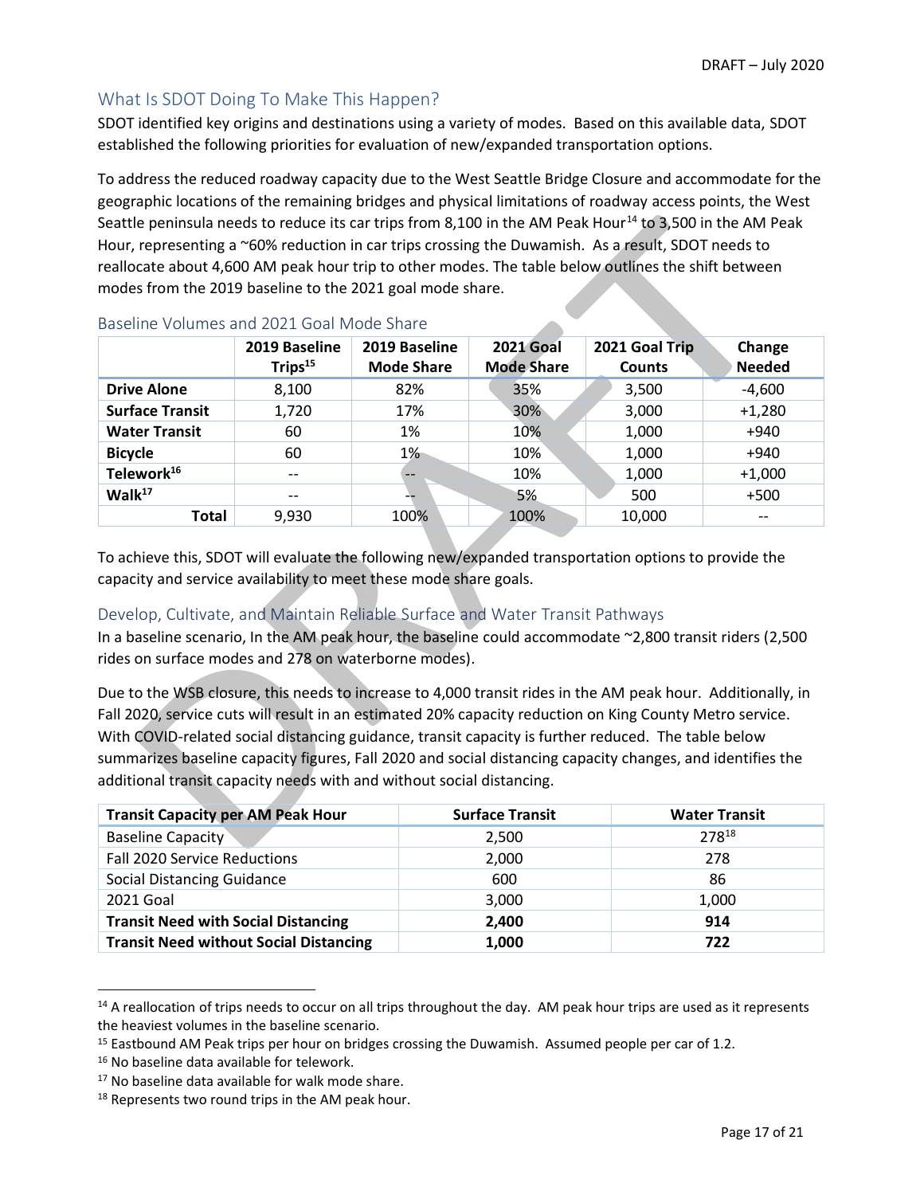# <span id="page-16-0"></span>What Is SDOT Doing To Make This Happen?

SDOT identified key origins and destinations using a variety of modes. Based on this available data, SDOT established the following priorities for evaluation of new/expanded transportation options.

To address the reduced roadway capacity due to the West Seattle Bridge Closure and accommodate for the geographic locations of the remaining bridges and physical limitations of roadway access points, the West Seattle peninsula needs to reduce its car trips from 8,100 in the AM Peak Hour<sup>14</sup> to 3,500 in the AM Peak Hour, representing a ~60% reduction in car trips crossing the Duwamish. As a result, SDOT needs to reallocate about 4,600 AM peak hour trip to other modes. The table below outlines the shift between modes from the 2019 baseline to the 2021 goal mode share.

**Allen** 

|                        | 2019 Baseline<br>Trips <sup>15</sup> | 2019 Baseline<br><b>Mode Share</b> | <b>2021 Goal</b><br><b>Mode Share</b> | 2021 Goal Trip<br><b>Counts</b> | Change<br><b>Needed</b> |
|------------------------|--------------------------------------|------------------------------------|---------------------------------------|---------------------------------|-------------------------|
| <b>Drive Alone</b>     | 8,100                                | 82%                                | 35%                                   | 3,500                           | $-4,600$                |
| <b>Surface Transit</b> | 1,720                                | 17%                                | 30%                                   | 3,000                           | $+1,280$                |
| <b>Water Transit</b>   | 60                                   | 1%                                 | 10%                                   | 1,000                           | $+940$                  |
| <b>Bicycle</b>         | 60                                   | $1\%$                              | 10%                                   | 1,000                           | $+940$                  |
| Telework <sup>16</sup> | $- -$                                | $- -$                              | 10%                                   | 1,000                           | $+1,000$                |
| Walk <sup>17</sup>     | $\overline{\phantom{m}}$             | --                                 | 5%                                    | 500                             | $+500$                  |
| <b>Total</b>           | 9,930                                | 100%                               | 100%                                  | 10,000                          | $- -$                   |

#### Baseline Volumes and 2021 Goal Mode Share

To achieve this, SDOT will evaluate the following new/expanded transportation options to provide the capacity and service availability to meet these mode share goals.

# Develop, Cultivate, and Maintain Reliable Surface and Water Transit Pathways

In a baseline scenario, In the AM peak hour, the baseline could accommodate ~2,800 transit riders (2,500 rides on surface modes and 278 on waterborne modes).

Due to the WSB closure, this needs to increase to 4,000 transit rides in the AM peak hour. Additionally, in Fall 2020, service cuts will result in an estimated 20% capacity reduction on King County Metro service. With COVID-related social distancing guidance, transit capacity is further reduced. The table below summarizes baseline capacity figures, Fall 2020 and social distancing capacity changes, and identifies the additional transit capacity needs with and without social distancing.

| <b>Transit Capacity per AM Peak Hour</b>      | <b>Surface Transit</b> | <b>Water Transit</b> |
|-----------------------------------------------|------------------------|----------------------|
| <b>Baseline Capacity</b>                      | 2,500                  | 27818                |
| Fall 2020 Service Reductions                  | 2,000                  | 278                  |
| <b>Social Distancing Guidance</b>             | 600                    | 86                   |
| 2021 Goal                                     | 3,000                  | 1,000                |
| <b>Transit Need with Social Distancing</b>    | 2,400                  | 914                  |
| <b>Transit Need without Social Distancing</b> | 1,000                  | 722                  |

 $14$  A reallocation of trips needs to occur on all trips throughout the day. AM peak hour trips are used as it represents the heaviest volumes in the baseline scenario.

<sup>&</sup>lt;sup>15</sup> Eastbound AM Peak trips per hour on bridges crossing the Duwamish. Assumed people per car of 1.2.

<sup>16</sup> No baseline data available for telework.

<sup>&</sup>lt;sup>17</sup> No baseline data available for walk mode share.

<sup>&</sup>lt;sup>18</sup> Represents two round trips in the AM peak hour.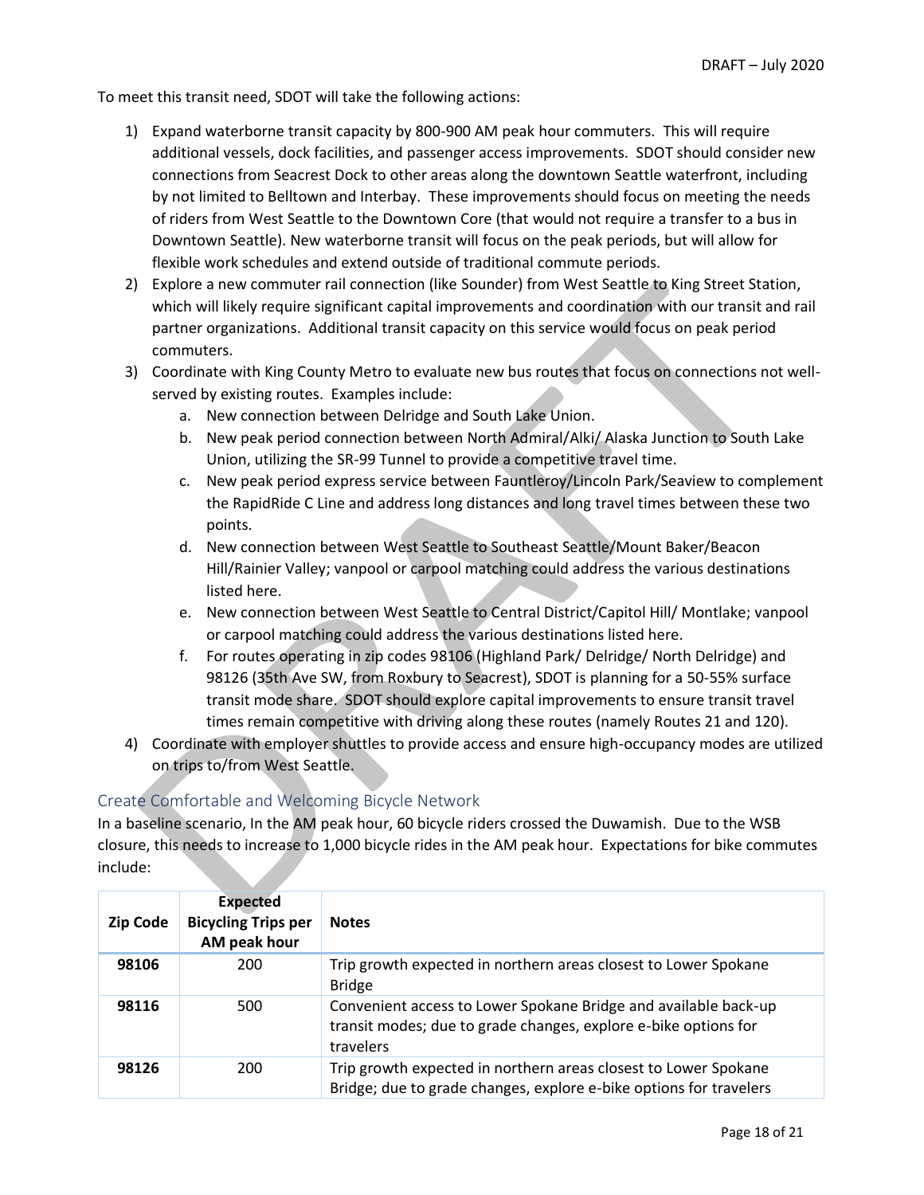To meet this transit need, SDOT will take the following actions:

- 1) Expand waterborne transit capacity by 800-900 AM peak hour commuters. This will require additional vessels, dock facilities, and passenger access improvements. SDOT should consider new connections from Seacrest Dock to other areas along the downtown Seattle waterfront, including by not limited to Belltown and Interbay. These improvements should focus on meeting the needs of riders from West Seattle to the Downtown Core (that would not require a transfer to a bus in Downtown Seattle). New waterborne transit will focus on the peak periods, but will allow for flexible work schedules and extend outside of traditional commute periods.
- 2) Explore a new commuter rail connection (like Sounder) from West Seattle to King Street Station, which will likely require significant capital improvements and coordination with our transit and rail partner organizations. Additional transit capacity on this service would focus on peak period commuters.
- 3) Coordinate with King County Metro to evaluate new bus routes that focus on connections not wellserved by existing routes. Examples include:
	- a. New connection between Delridge and South Lake Union.
	- b. New peak period connection between North Admiral/Alki/ Alaska Junction to South Lake Union, utilizing the SR-99 Tunnel to provide a competitive travel time.
	- c. New peak period express service between Fauntleroy/Lincoln Park/Seaview to complement the RapidRide C Line and address long distances and long travel times between these two points.
	- d. New connection between West Seattle to Southeast Seattle/Mount Baker/Beacon Hill/Rainier Valley; vanpool or carpool matching could address the various destinations listed here.
	- e. New connection between West Seattle to Central District/Capitol Hill/ Montlake; vanpool or carpool matching could address the various destinations listed here.
	- f. For routes operating in zip codes 98106 (Highland Park/ Delridge/ North Delridge) and 98126 (35th Ave SW, from Roxbury to Seacrest), SDOT is planning for a 50-55% surface transit mode share. SDOT should explore capital improvements to ensure transit travel times remain competitive with driving along these routes (namely Routes 21 and 120).
- 4) Coordinate with employer shuttles to provide access and ensure high-occupancy modes are utilized on trips to/from West Seattle.

# Create Comfortable and Welcoming Bicycle Network

In a baseline scenario, In the AM peak hour, 60 bicycle riders crossed the Duwamish. Due to the WSB closure, this needs to increase to 1,000 bicycle rides in the AM peak hour. Expectations for bike commutes include:

| <b>Zip Code</b> | <b>Expected</b><br><b>Bicycling Trips per</b><br>AM peak hour | <b>Notes</b>                                                                                                                                    |
|-----------------|---------------------------------------------------------------|-------------------------------------------------------------------------------------------------------------------------------------------------|
| 98106           | 200                                                           | Trip growth expected in northern areas closest to Lower Spokane<br><b>Bridge</b>                                                                |
| 98116           | 500                                                           | Convenient access to Lower Spokane Bridge and available back-up<br>transit modes; due to grade changes, explore e-bike options for<br>travelers |
| 98126           | 200                                                           | Trip growth expected in northern areas closest to Lower Spokane<br>Bridge; due to grade changes, explore e-bike options for travelers           |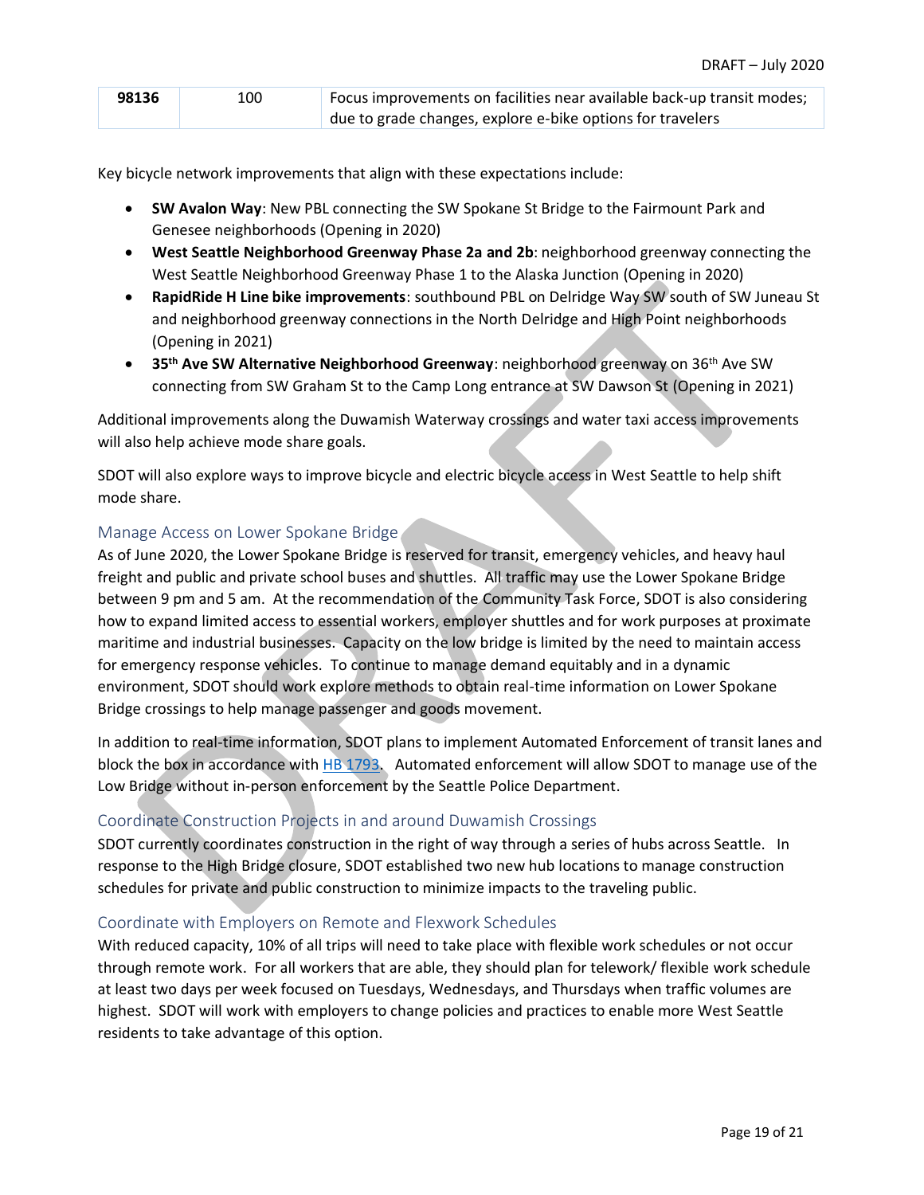| 98136 | 100 | Focus improvements on facilities near available back-up transit modes; |
|-------|-----|------------------------------------------------------------------------|
|       |     | due to grade changes, explore e-bike options for travelers             |

Key bicycle network improvements that align with these expectations include:

- **SW Avalon Way**: New PBL connecting the SW Spokane St Bridge to the Fairmount Park and Genesee neighborhoods (Opening in 2020)
- **West Seattle Neighborhood Greenway Phase 2a and 2b**: neighborhood greenway connecting the West Seattle Neighborhood Greenway Phase 1 to the Alaska Junction (Opening in 2020)
- **RapidRide H Line bike improvements**: southbound PBL on Delridge Way SW south of SW Juneau St and neighborhood greenway connections in the North Delridge and High Point neighborhoods (Opening in 2021)
- **35th Ave SW Alternative Neighborhood Greenway**: neighborhood greenway on 36th Ave SW connecting from SW Graham St to the Camp Long entrance at SW Dawson St (Opening in 2021)

Additional improvements along the Duwamish Waterway crossings and water taxi access improvements will also help achieve mode share goals.

SDOT will also explore ways to improve bicycle and electric bicycle access in West Seattle to help shift mode share.

#### Manage Access on Lower Spokane Bridge

As of June 2020, the Lower Spokane Bridge is reserved for transit, emergency vehicles, and heavy haul freight and public and private school buses and shuttles. All traffic may use the Lower Spokane Bridge between 9 pm and 5 am. At the recommendation of the Community Task Force, SDOT is also considering how to expand limited access to essential workers, employer shuttles and for work purposes at proximate maritime and industrial businesses. Capacity on the low bridge is limited by the need to maintain access for emergency response vehicles. To continue to manage demand equitably and in a dynamic environment, SDOT should work explore methods to obtain real-time information on Lower Spokane Bridge crossings to help manage passenger and goods movement.

In addition to real-time information, SDOT plans to implement Automated Enforcement of transit lanes and block the box in accordance with [HB 1793.](http://lawfilesext.leg.wa.gov/biennium/2019-20/Pdf/Bill%20Reports/House/1793-S.E%20HBR%20PL%2020.pdf?q=20200406135352) Automated enforcement will allow SDOT to manage use of the Low Bridge without in-person enforcement by the Seattle Police Department.

#### Coordinate Construction Projects in and around Duwamish Crossings

SDOT currently coordinates construction in the right of way through a series of hubs across Seattle. In response to the High Bridge closure, SDOT established two new hub locations to manage construction schedules for private and public construction to minimize impacts to the traveling public.

#### Coordinate with Employers on Remote and Flexwork Schedules

With reduced capacity, 10% of all trips will need to take place with flexible work schedules or not occur through remote work. For all workers that are able, they should plan for telework/ flexible work schedule at least two days per week focused on Tuesdays, Wednesdays, and Thursdays when traffic volumes are highest. SDOT will work with employers to change policies and practices to enable more West Seattle residents to take advantage of this option.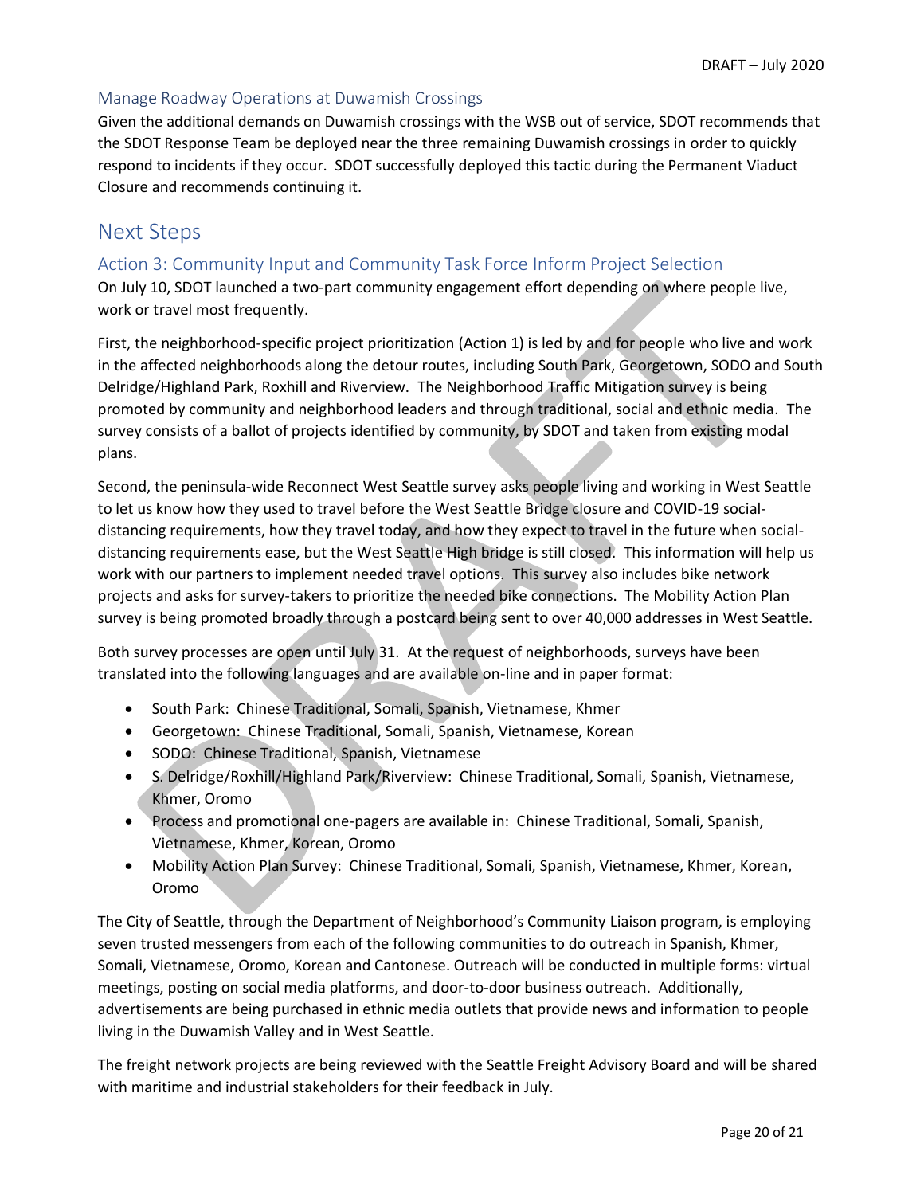#### Manage Roadway Operations at Duwamish Crossings

Given the additional demands on Duwamish crossings with the WSB out of service, SDOT recommends that the SDOT Response Team be deployed near the three remaining Duwamish crossings in order to quickly respond to incidents if they occur. SDOT successfully deployed this tactic during the Permanent Viaduct Closure and recommends continuing it.

# <span id="page-19-0"></span>Next Steps

# <span id="page-19-1"></span>Action 3: Community Input and Community Task Force Inform Project Selection

On July 10, SDOT launched a two-part community engagement effort depending on where people live, work or travel most frequently.

First, the neighborhood-specific project prioritization (Action 1) is led by and for people who live and work in the affected neighborhoods along the detour routes, including South Park, Georgetown, SODO and South Delridge/Highland Park, Roxhill and Riverview. The Neighborhood Traffic Mitigation survey is being promoted by community and neighborhood leaders and through traditional, social and ethnic media. The survey consists of a ballot of projects identified by community, by SDOT and taken from existing modal plans.

Second, the peninsula-wide Reconnect West Seattle survey asks people living and working in West Seattle to let us know how they used to travel before the West Seattle Bridge closure and COVID-19 socialdistancing requirements, how they travel today, and how they expect to travel in the future when socialdistancing requirements ease, but the West Seattle High bridge is still closed. This information will help us work with our partners to implement needed travel options. This survey also includes bike network projects and asks for survey-takers to prioritize the needed bike connections. The Mobility Action Plan survey is being promoted broadly through a postcard being sent to over 40,000 addresses in West Seattle.

Both survey processes are open until July 31. At the request of neighborhoods, surveys have been translated into the following languages and are available on-line and in paper format:

- South Park: Chinese Traditional, Somali, Spanish, Vietnamese, Khmer
- Georgetown: Chinese Traditional, Somali, Spanish, Vietnamese, Korean
- SODO: Chinese Traditional, Spanish, Vietnamese
- S. Delridge/Roxhill/Highland Park/Riverview: Chinese Traditional, Somali, Spanish, Vietnamese, Khmer, Oromo
- Process and promotional one-pagers are available in: Chinese Traditional, Somali, Spanish, Vietnamese, Khmer, Korean, Oromo
- Mobility Action Plan Survey: Chinese Traditional, Somali, Spanish, Vietnamese, Khmer, Korean, Oromo

The City of Seattle, through the Department of Neighborhood's Community Liaison program, is employing seven trusted messengers from each of the following communities to do outreach in Spanish, Khmer, Somali, Vietnamese, Oromo, Korean and Cantonese. Outreach will be conducted in multiple forms: virtual meetings, posting on social media platforms, and door-to-door business outreach. Additionally, advertisements are being purchased in ethnic media outlets that provide news and information to people living in the Duwamish Valley and in West Seattle.

The freight network projects are being reviewed with the Seattle Freight Advisory Board and will be shared with maritime and industrial stakeholders for their feedback in July.